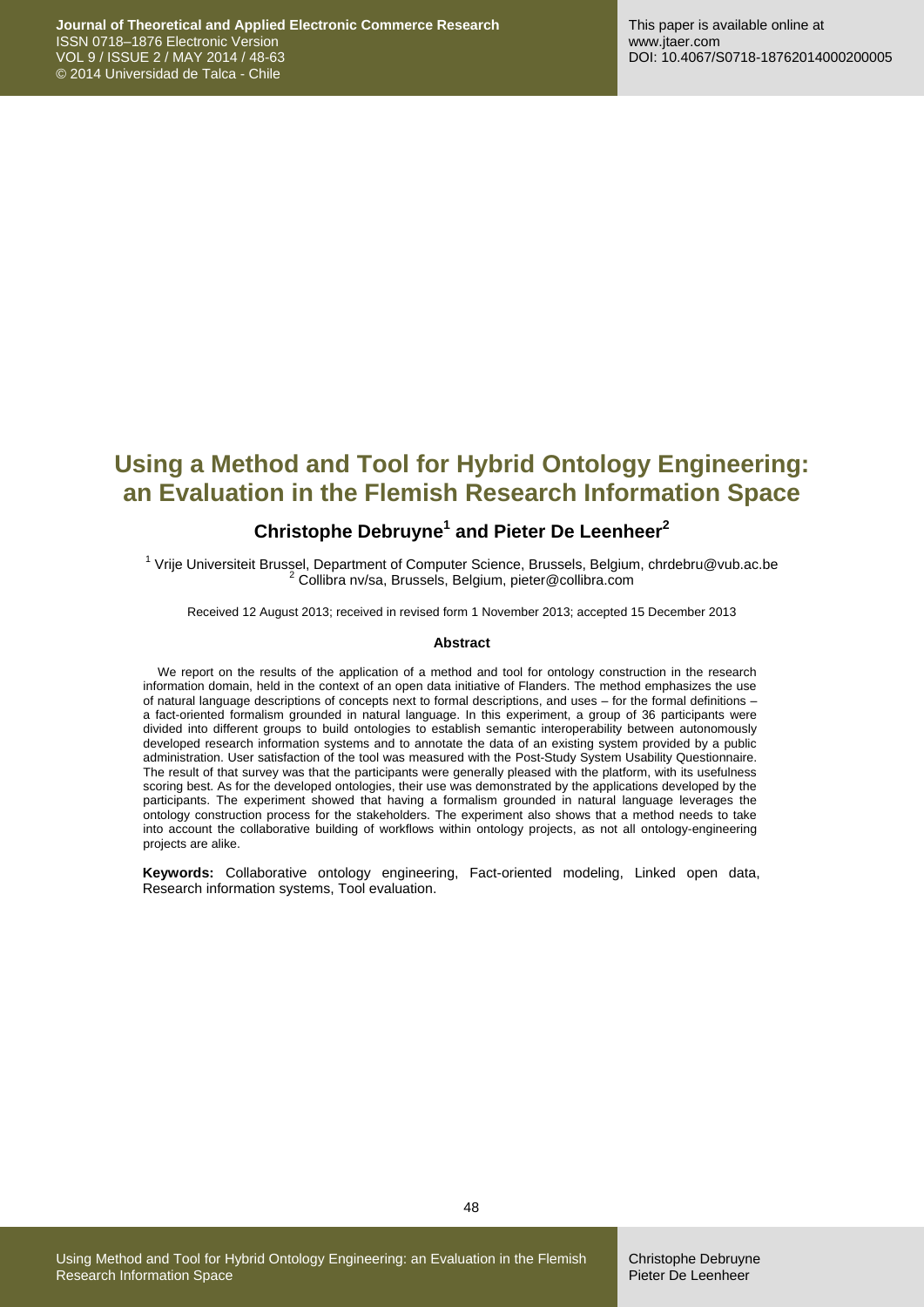# **Using a Method and Tool for Hybrid Ontology Engineering: an Evaluation in the Flemish Research Information Space**

### **Christophe Debruyne<sup>1</sup> and Pieter De Leenheer<sup>2</sup>**

<sup>1</sup> Vrije Universiteit Brussel, Department of Computer Science, Brussels, Belgium, chrdebru@vub.ac.be <sup>2</sup> Collibra nv/sa, Brussels, Belgium, pieter@collibra.com

Received 12 August 2013; received in revised form 1 November 2013; accepted 15 December 2013

#### **Abstract**

We report on the results of the application of a method and tool for ontology construction in the research information domain, held in the context of an open data initiative of Flanders. The method emphasizes the use of natural language descriptions of concepts next to formal descriptions, and uses – for the formal definitions – a fact-oriented formalism grounded in natural language. In this experiment, a group of 36 participants were divided into different groups to build ontologies to establish semantic interoperability between autonomously developed research information systems and to annotate the data of an existing system provided by a public administration. User satisfaction of the tool was measured with the Post-Study System Usability Questionnaire. The result of that survey was that the participants were generally pleased with the platform, with its usefulness scoring best. As for the developed ontologies, their use was demonstrated by the applications developed by the participants. The experiment showed that having a formalism grounded in natural language leverages the ontology construction process for the stakeholders. The experiment also shows that a method needs to take into account the collaborative building of workflows within ontology projects, as not all ontology-engineering projects are alike.

**Keywords:** Collaborative ontology engineering, Fact-oriented modeling, Linked open data, Research information systems, Tool evaluation.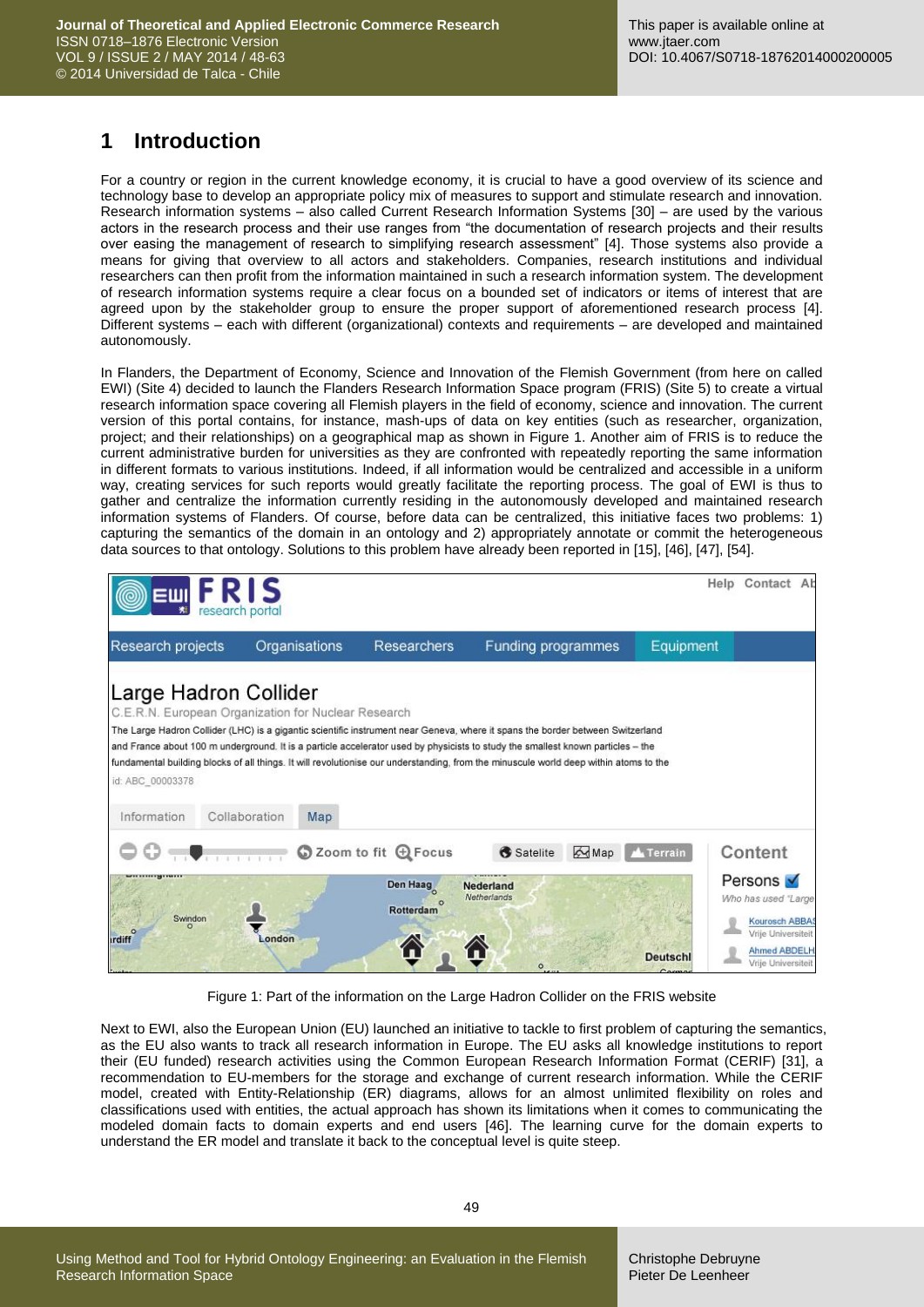# **1 Introduction**

For a country or region in the current knowledge economy, it is crucial to have a good overview of its science and technology base to develop an appropriate policy mix of measures to support and stimulate research and innovation. Research information systems – also called Current Research Information Systems [\[30\]](#page-14-0) – are used by the various actors in the research process and their use ranges from "the documentation of research projects and their results over easing the management of research to simplifying research assessment" [\[4\].](#page-13-0) Those systems also provide a means for giving that overview to all actors and stakeholders. Companies, research institutions and individual researchers can then profit from the information maintained in such a research information system. The development of research information systems require a clear focus on a bounded set of indicators or items of interest that are agreed upon by the stakeholder group to ensure the proper support of aforementioned research process [\[4\].](#page-13-0) Different systems – each with different (organizational) contexts and requirements – are developed and maintained autonomously.

In Flanders, the Department of Economy, Science and Innovation of the Flemish Government (from here on called EWI) (Site 4) decided to launch the Flanders Research Information Space program (FRIS) (Site 5) to create a virtual research information space covering all Flemish players in the field of economy, science and innovation. The current version of this portal contains, for instance, mash-ups of data on key entities (such as researcher, organization, project; and their relationships) on a geographical map as shown in Figure 1. Another aim of FRIS is to reduce the current administrative burden for universities as they are confronted with repeatedly reporting the same information in different formats to various institutions. Indeed, if all information would be centralized and accessible in a uniform way, creating services for such reports would greatly facilitate the reporting process. The goal of EWI is thus to gather and centralize the information currently residing in the autonomously developed and maintained research information systems of Flanders. Of course, before data can be centralized, this initiative faces two problems: 1) capturing the semantics of the domain in an ontology and 2) appropriately annotate or commit the heterogeneous data sources to that ontology. Solutions to this problem have already been reported in [\[15\],](#page-14-1) [\[46\],](#page-15-0) [\[47\],](#page-15-1) [\[54\].](#page-15-2)

|                                                                                                                 | research portal |               |                                                                                                                                                                                                                                                                                                                                                                                                            |                          |       |                  | Contact Al<br>Help                                                                                                   |  |
|-----------------------------------------------------------------------------------------------------------------|-----------------|---------------|------------------------------------------------------------------------------------------------------------------------------------------------------------------------------------------------------------------------------------------------------------------------------------------------------------------------------------------------------------------------------------------------------------|--------------------------|-------|------------------|----------------------------------------------------------------------------------------------------------------------|--|
| Research projects                                                                                               |                 | Organisations | <b>Researchers</b>                                                                                                                                                                                                                                                                                                                                                                                         | Funding programmes       |       | Equipment        |                                                                                                                      |  |
| Large Hadron Collider<br>C.E.R.N. European Organization for Nuclear Research<br>id: ABC 00003378<br>Information | Collaboration   | Map           | The Large Hadron Collider (LHC) is a gigantic scientific instrument near Geneva, where it spans the border between Switzerland<br>and France about 100 m underground. It is a particle accelerator used by physicists to study the smallest known particles - the<br>fundamental building blocks of all things. It will revolutionise our understanding, from the minuscule world deep within atoms to the |                          |       |                  |                                                                                                                      |  |
|                                                                                                                 |                 |               | 200m to fit @ Focus                                                                                                                                                                                                                                                                                                                                                                                        | Satelite                 | A Map | <b>A</b> Terrain | Content                                                                                                              |  |
| Swindon<br><b><i><u>urdiff</u></i></b>                                                                          | ondon           |               | Den Haag<br><b>Rotterdam</b><br>A                                                                                                                                                                                                                                                                                                                                                                          | Nederland<br>Netherlands |       | <b>Deutschl</b>  | Persons V<br>Who has used "Large<br>Kourosch ABBA<br>Vrije Universiteit<br><b>Ahmed ABDELH</b><br>Vrije Universiteit |  |

Figure 1: Part of the information on the Large Hadron Collider on the FRIS website

Next to EWI, also the European Union (EU) launched an initiative to tackle to first problem of capturing the semantics, as the EU also wants to track all research information in Europe. The EU asks all knowledge institutions to report their (EU funded) research activities using the Common European Research Information Format (CERIF) [\[31\],](#page-14-2) a recommendation to EU-members for the storage and exchange of current research information. While the CERIF model, created with Entity-Relationship (ER) diagrams, allows for an almost unlimited flexibility on roles and classifications used with entities, the actual approach has shown its limitations when it comes to communicating the modeled domain facts to domain experts and end users [\[46\].](#page-15-3) The learning curve for the domain experts to understand the ER model and translate it back to the conceptual level is quite steep.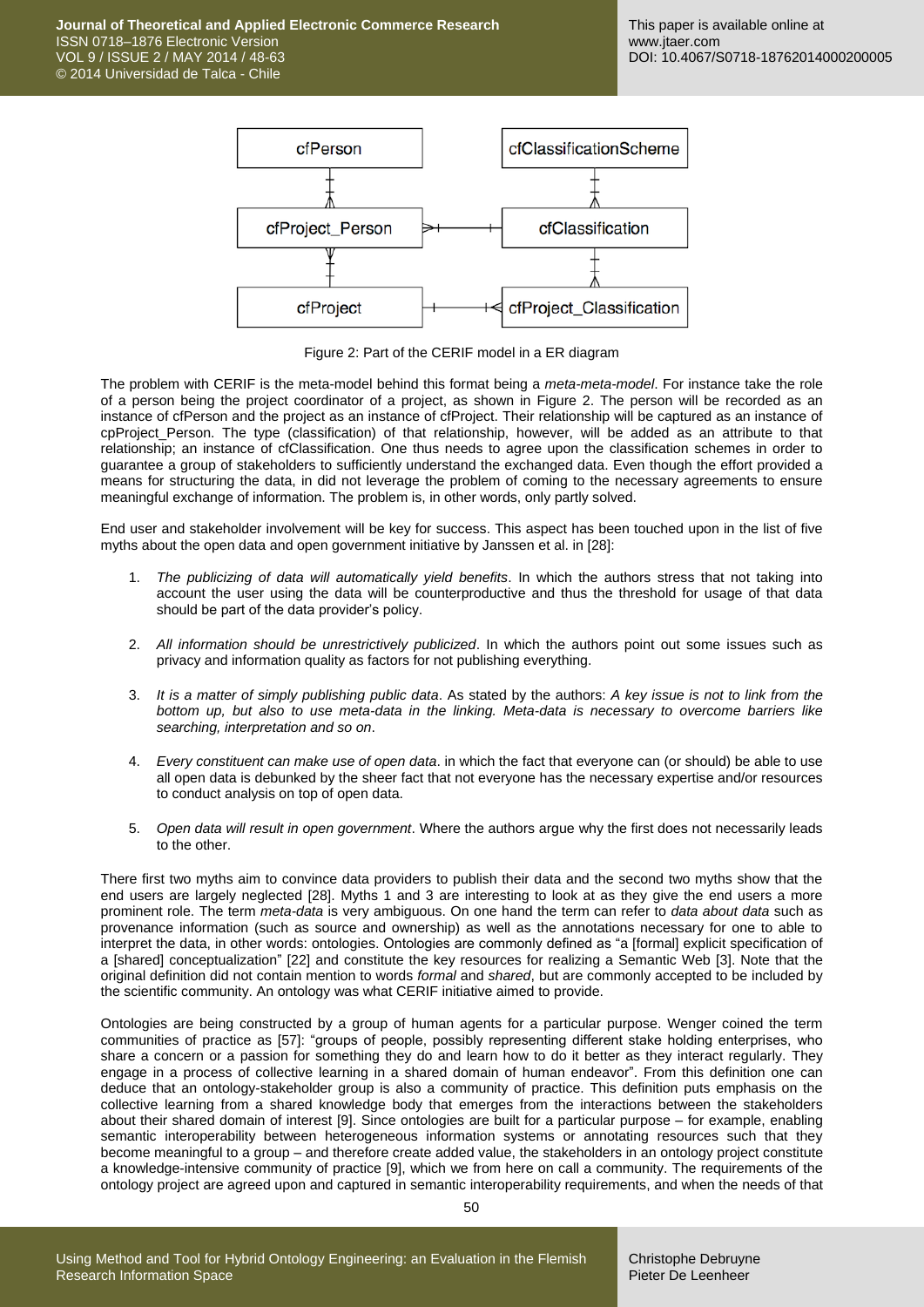**Journal of Theoretical and Applied Electronic Commerce Research** ISSN 0718–1876 Electronic Version VOL 9 / ISSUE 2 / MAY 2014 / 48-63 © 2014 Universidad de Talca - Chile



Figure 2: Part of the CERIF model in a ER diagram

The problem with CERIF is the meta-model behind this format being a *meta-meta-model*. For instance take the role of a person being the project coordinator of a project, as shown in Figure 2. The person will be recorded as an instance of cfPerson and the project as an instance of cfProject. Their relationship will be captured as an instance of cpProject\_Person. The type (classification) of that relationship, however, will be added as an attribute to that relationship; an instance of cfClassification. One thus needs to agree upon the classification schemes in order to guarantee a group of stakeholders to sufficiently understand the exchanged data. Even though the effort provided a means for structuring the data, in did not leverage the problem of coming to the necessary agreements to ensure meaningful exchange of information. The problem is, in other words, only partly solved.

End user and stakeholder involvement will be key for success. This aspect has been touched upon in the list of five myths about the open data and open government initiative by Janssen et al. i[n \[28\]:](#page-14-3)

- 1. *The publicizing of data will automatically yield benefits*. In which the authors stress that not taking into account the user using the data will be counterproductive and thus the threshold for usage of that data should be part of the data provider's policy.
- 2. *All information should be unrestrictively publicized*. In which the authors point out some issues such as privacy and information quality as factors for not publishing everything.
- 3. *It is a matter of simply publishing public data*. As stated by the authors: *A key issue is not to link from the bottom up, but also to use meta-data in the linking. Meta-data is necessary to overcome barriers like searching, interpretation and so on*.
- 4. *Every constituent can make use of open data*. in which the fact that everyone can (or should) be able to use all open data is debunked by the sheer fact that not everyone has the necessary expertise and/or resources to conduct analysis on top of open data.
- 5. *Open data will result in open government*. Where the authors argue why the first does not necessarily leads to the other.

There first two myths aim to convince data providers to publish their data and the second two myths show that the end users are largely neglected [\[28\].](#page-14-3) Myths 1 and 3 are interesting to look at as they give the end users a more prominent role. The term *meta-data* is very ambiguous. On one hand the term can refer to *data about data* such as provenance information (such as source and ownership) as well as the annotations necessary for one to able to interpret the data, in other words: ontologies. Ontologies are commonly defined as "a [formal] explicit specification of a [shared] conceptualization" [\[22\]](#page-14-4) and constitute the key resources for realizing a Semantic Web [\[3\].](#page-13-1) Note that the original definition did not contain mention to words *formal* and *shared*, but are commonly accepted to be included by the scientific community. An ontology was what CERIF initiative aimed to provide.

Ontologies are being constructed by a group of human agents for a particular purpose. Wenger coined the term communities of practice as [\[57\]:](#page-15-4) "groups of people, possibly representing different stake holding enterprises, who share a concern or a passion for something they do and learn how to do it better as they interact regularly. They engage in a process of collective learning in a shared domain of human endeavor". From this definition one can deduce that an ontology-stakeholder group is also a community of practice. This definition puts emphasis on the collective learning from a shared knowledge body that emerges from the interactions between the stakeholders about their shared domain of interest [\[9\].](#page-13-2) Since ontologies are built for a particular purpose – for example, enabling semantic interoperability between heterogeneous information systems or annotating resources such that they become meaningful to a group – and therefore create added value, the stakeholders in an ontology project constitute a knowledge-intensive community of practice [\[9\],](#page-13-2) which we from here on call a community. The requirements of the ontology project are agreed upon and captured in semantic interoperability requirements, and when the needs of that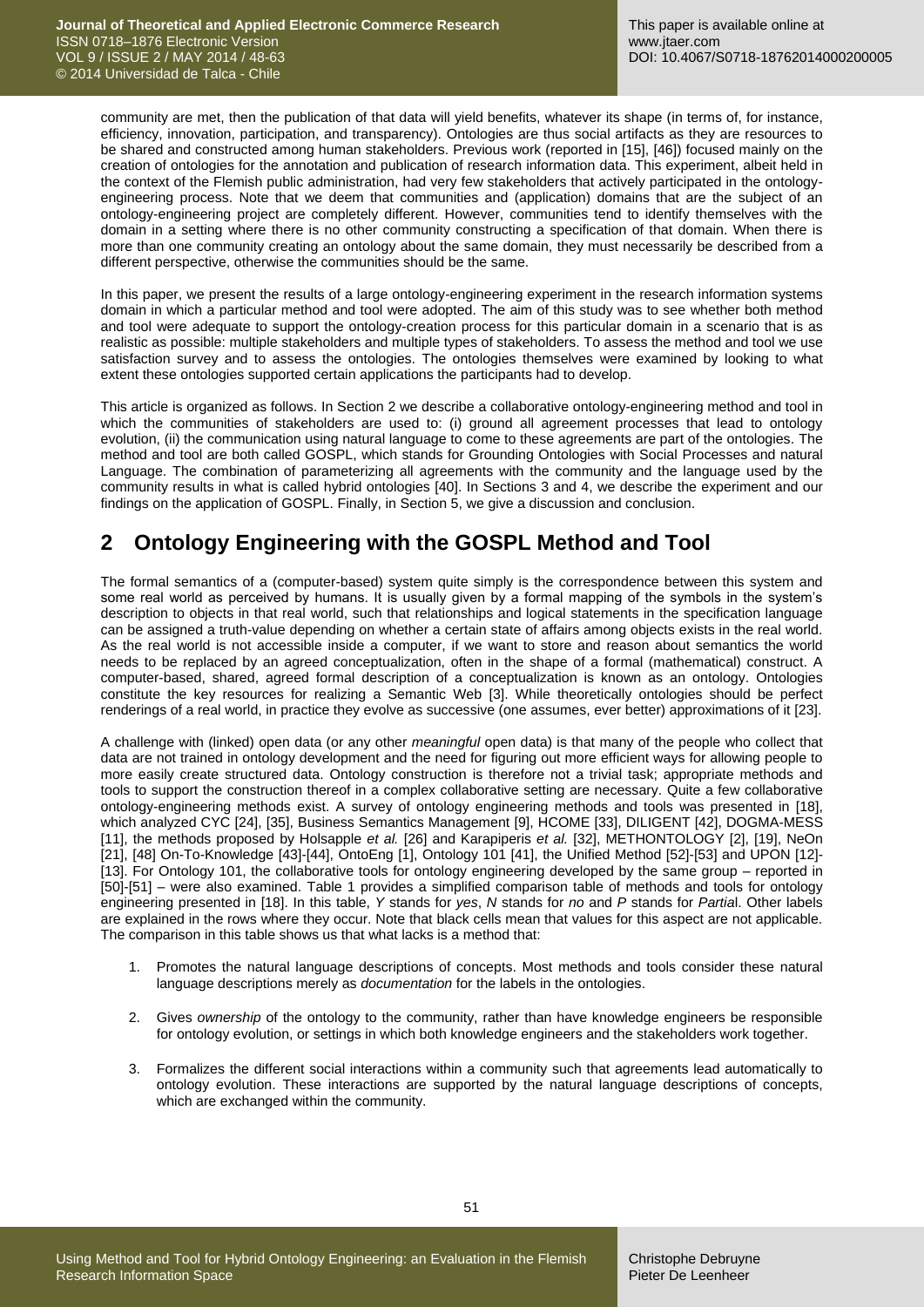community are met, then the publication of that data will yield benefits, whatever its shape (in terms of, for instance, efficiency, innovation, participation, and transparency). Ontologies are thus social artifacts as they are resources to be shared and constructed among human stakeholders. Previous work (reported in [\[15\],](#page-14-1) [\[46\]\)](#page-15-3) focused mainly on the creation of ontologies for the annotation and publication of research information data. This experiment, albeit held in the context of the Flemish public administration, had very few stakeholders that actively participated in the ontologyengineering process. Note that we deem that communities and (application) domains that are the subject of an ontology-engineering project are completely different. However, communities tend to identify themselves with the domain in a setting where there is no other community constructing a specification of that domain. When there is more than one community creating an ontology about the same domain, they must necessarily be described from a different perspective, otherwise the communities should be the same.

In this paper, we present the results of a large ontology-engineering experiment in the research information systems domain in which a particular method and tool were adopted. The aim of this study was to see whether both method and tool were adequate to support the ontology-creation process for this particular domain in a scenario that is as realistic as possible: multiple stakeholders and multiple types of stakeholders. To assess the method and tool we use satisfaction survey and to assess the ontologies. The ontologies themselves were examined by looking to what extent these ontologies supported certain applications the participants had to develop.

This article is organized as follows. In Section 2 we describe a collaborative ontology-engineering method and tool in which the communities of stakeholders are used to: (i) ground all agreement processes that lead to ontology evolution, (ii) the communication using natural language to come to these agreements are part of the ontologies. The method and tool are both called GOSPL, which stands for Grounding Ontologies with Social Processes and natural Language. The combination of parameterizing all agreements with the community and the language used by the community results in what is called hybrid ontologies [\[40\].](#page-15-5) In Sections 3 and 4, we describe the experiment and our findings on the application of GOSPL. Finally, in Section 5, we give a discussion and conclusion.

# **2 Ontology Engineering with the GOSPL Method and Tool**

The formal semantics of a (computer-based) system quite simply is the correspondence between this system and some real world as perceived by humans. It is usually given by a formal mapping of the symbols in the system's description to objects in that real world, such that relationships and logical statements in the specification language can be assigned a truth-value depending on whether a certain state of affairs among objects exists in the real world. As the real world is not accessible inside a computer, if we want to store and reason about semantics the world needs to be replaced by an agreed conceptualization, often in the shape of a formal (mathematical) construct. A computer-based, shared, agreed formal description of a conceptualization is known as an ontology. Ontologies constitute the key resources for realizing a Semantic Web [\[3\].](#page-13-1) While theoretically ontologies should be perfect renderings of a real world, in practice they evolve as successive (one assumes, ever better) approximations of it [\[23\].](#page-14-5)

A challenge with (linked) open data (or any other *meaningful* open data) is that many of the people who collect that data are not trained in ontology development and the need for figuring out more efficient ways for allowing people to more easily create structured data. Ontology construction is therefore not a trivial task; appropriate methods and tools to support the construction thereof in a complex collaborative setting are necessary. Quite a few collaborative ontology-engineering methods exist. A survey of ontology engineering methods and tools was presented in [\[18\],](#page-14-6) which analyzed CYC [\[24\],](#page-14-7) [\[35\],](#page-14-8) Business Semantics Management [\[9\],](#page-13-2) HCOME [\[33\],](#page-14-9) DILIGENT [\[42\],](#page-15-6) DOGMA-MESS [\[11\],](#page-14-10) the methods proposed by Holsapple *et al.* [\[26\]](#page-14-11) and Karapiperis *et al.* [\[32\],](#page-14-12) METHONTOLOGY [\[2\],](#page-13-3) [\[19\],](#page-14-13) NeOn [\[21\],](#page-14-14) [\[48\]](#page-15-7) On-To-Knowledge [\[43\]](#page-15-8)[-\[44\],](#page-15-9) OntoEng [\[1\],](#page-13-4) Ontology 101 [\[41\],](#page-15-10) the Unified Method [\[52\]-](#page-15-11)[\[53\]](#page-15-12) and UPON [\[12\]-](#page-14-15) [\[13\].](#page-14-16) For Ontology 101, the collaborative tools for ontology engineering developed by the same group – reported in [\[50\]-](#page-15-13)[\[51\]](#page-15-14) – were also examined. Table 1 provides a simplified comparison table of methods and tools for ontology engineering presented in [\[18\].](#page-14-6) In this table, *Y* stands for *yes*, *N* stands for *no* and *P* stands for *Partia*l. Other labels are explained in the rows where they occur. Note that black cells mean that values for this aspect are not applicable. The comparison in this table shows us that what lacks is a method that:

- 1. Promotes the natural language descriptions of concepts. Most methods and tools consider these natural language descriptions merely as *documentation* for the labels in the ontologies.
- 2. Gives *ownership* of the ontology to the community, rather than have knowledge engineers be responsible for ontology evolution, or settings in which both knowledge engineers and the stakeholders work together.
- 3. Formalizes the different social interactions within a community such that agreements lead automatically to ontology evolution. These interactions are supported by the natural language descriptions of concepts, which are exchanged within the community.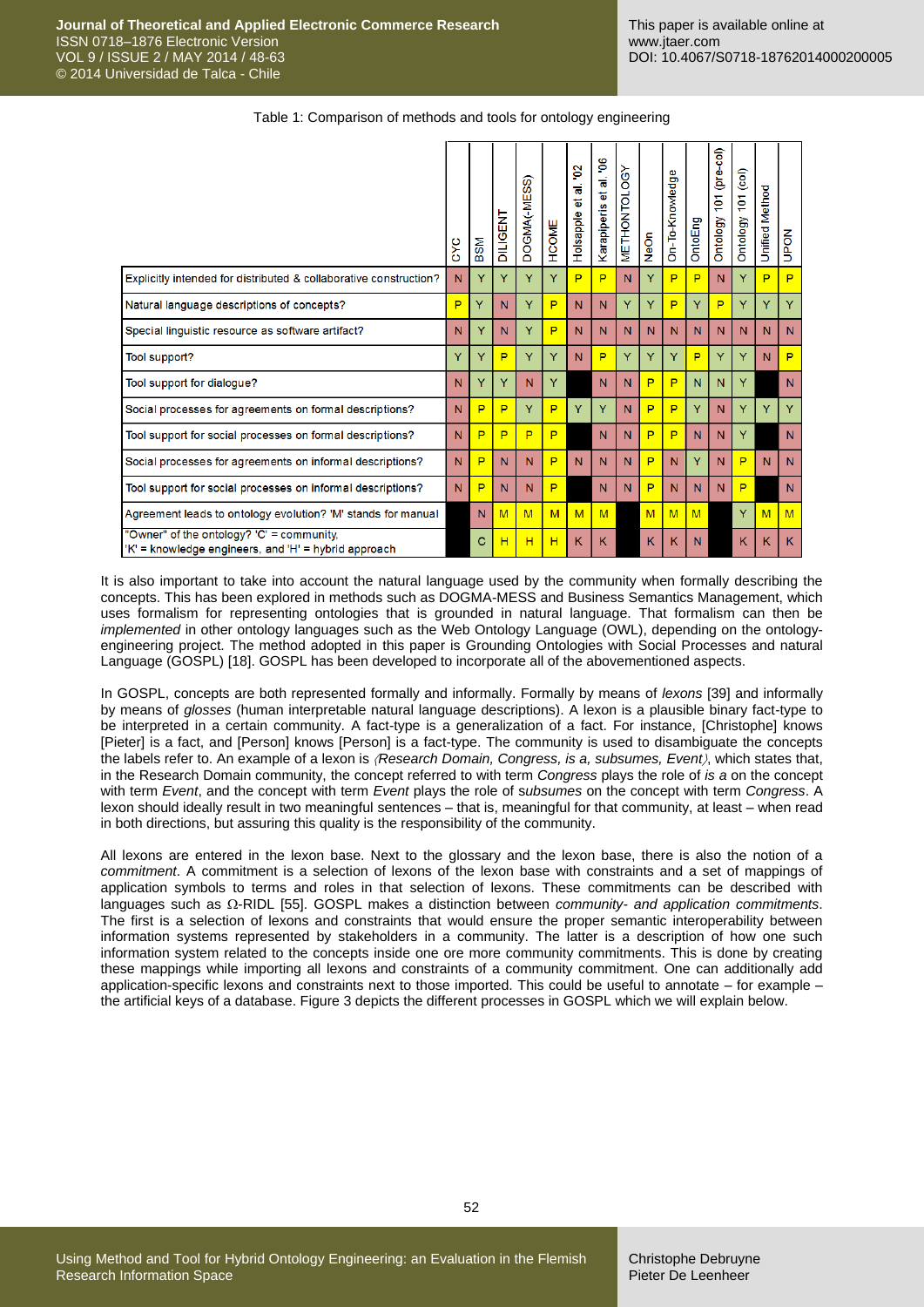|                                                                                                   | c×c | <b>BSM</b> | <b>DILIGENT</b> | ை<br>DOGMA <sub>(-MES</sub> | HCOME | g<br>ಹ<br>ъ<br>Holsapple | al. 06<br>t.<br>Karapiperis | $\delta$<br><b>METHONTO</b> | Neon | Φ<br>On-To-Knowledg | OntoEng | (pre-col)<br>ě<br>Ontology | 101 (col)<br>Ontology | <b>Unified Method</b> | <b>NOdD</b> |
|---------------------------------------------------------------------------------------------------|-----|------------|-----------------|-----------------------------|-------|--------------------------|-----------------------------|-----------------------------|------|---------------------|---------|----------------------------|-----------------------|-----------------------|-------------|
| Explicitly intended for distributed & collaborative construction?                                 | N   | Ÿ          | Y               | Ÿ                           | Y     | P                        | P                           | N                           | Y    | P                   | P       | N                          | Y                     | P                     | P           |
| Natural language descriptions of concepts?                                                        | P   | Ÿ          | N               | Ÿ                           | P     | N                        | N                           | Y                           | Y    | P                   | Y       | P                          | Y                     | Y                     | Y           |
| Special linguistic resource as software artifact?                                                 | N   | Y          | N               | Ÿ                           | P     | N                        | N                           | N                           | N    | N                   | N       | N                          | N                     | N                     | N           |
| Tool support?                                                                                     | Y   | Ÿ          | P               | Ÿ                           | Y     | N                        | P                           | Y                           | Y    | Ÿ                   | P       | Y                          | Y                     | N                     | P           |
| Tool support for dialogue?                                                                        | N   | Ÿ          | Ÿ               | N                           | Y     |                          | N                           | N                           | P    | P                   | N       | N                          | Y                     |                       | N           |
| Social processes for agreements on formal descriptions?                                           | N   | P          | P               | Ÿ                           | P     | Y                        | Y                           | N                           | P    | P                   | Ÿ       | N                          | Y                     | Y                     | Y           |
| Tool support for social processes on formal descriptions?                                         | N   | P          | P               | P                           | P     |                          | N                           | N                           | P    | P                   | N       | N                          | Y                     |                       | N           |
| Social processes for agreements on informal descriptions?                                         | N   | P          | Ν               | N                           | P     | N                        | N                           | N                           | P    | N                   | Y       | N                          | P                     | N                     | N           |
| Tool support for social processes on informal descriptions?                                       | N   | P          | N               | N                           | P     |                          | N                           | N                           | P    | N                   | N       | N                          | P                     |                       | N           |
| Agreement leads to ontology evolution? 'M' stands for manual                                      |     | N          | M               | M                           | M     | M                        | M                           |                             | M    | M                   | M       |                            | Y                     | M                     | M           |
| "Owner" of the ontology? 'C' = community,<br>'K' = knowledge engineers, and 'H' = hybrid approach |     | с          | н               | н                           | H     | K                        | K                           |                             | Κ    | κ                   | N       |                            | ĸ                     | Κ                     | K.          |

Table 1: Comparison of methods and tools for ontology engineering

It is also important to take into account the natural language used by the community when formally describing the concepts. This has been explored in methods such as DOGMA-MESS and Business Semantics Management, which uses formalism for representing ontologies that is grounded in natural language. That formalism can then be *implemented* in other ontology languages such as the Web Ontology Language (OWL), depending on the ontologyengineering project. The method adopted in this paper is Grounding Ontologies with Social Processes and natural Language (GOSPL) [\[18\].](#page-14-6) GOSPL has been developed to incorporate all of the abovementioned aspects.

In GOSPL, concepts are both represented formally and informally. Formally by means of *lexons* [\[39\]](#page-14-17) and informally by means of *glosses* (human interpretable natural language descriptions). A lexon is a plausible binary fact-type to be interpreted in a certain community. A fact-type is a generalization of a fact. For instance, [Christophe] knows [Pieter] is a fact, and [Person] knows [Person] is a fact-type. The community is used to disambiguate the concepts the labels refer to. An example of a lexon is *Research Domain, Congress, is a, subsumes, Event*, which states that, in the Research Domain community, the concept referred to with term *Congress* plays the role of *is a* on the concept with term *Event*, and the concept with term *Event* plays the role of s*ubsumes* on the concept with term *Congress*. A lexon should ideally result in two meaningful sentences – that is, meaningful for that community, at least – when read in both directions, but assuring this quality is the responsibility of the community.

All lexons are entered in the lexon base. Next to the glossary and the lexon base, there is also the notion of a *commitment*. A commitment is a selection of lexons of the lexon base with constraints and a set of mappings of application symbols to terms and roles in that selection of lexons. These commitments can be described with languages such as Ω-RIDL [\[55\].](#page-15-15) GOSPL makes a distinction between *community- and application commitments*. The first is a selection of lexons and constraints that would ensure the proper semantic interoperability between information systems represented by stakeholders in a community. The latter is a description of how one such information system related to the concepts inside one ore more community commitments. This is done by creating these mappings while importing all lexons and constraints of a community commitment. One can additionally add application-specific lexons and constraints next to those imported. This could be useful to annotate – for example – the artificial keys of a database. Figure 3 depicts the different processes in GOSPL which we will explain below.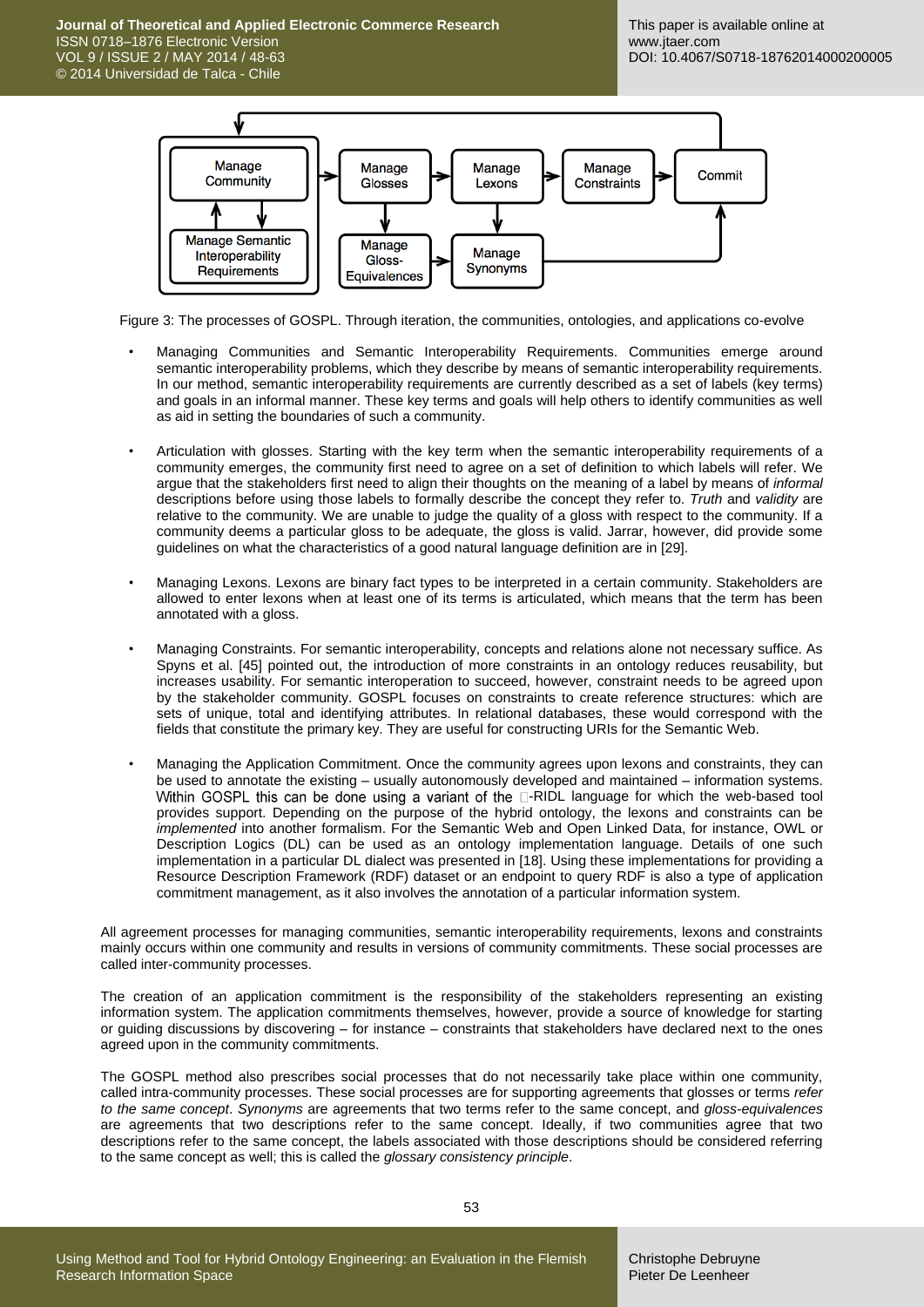**Journal of Theoretical and Applied Electronic Commerce Research** ISSN 0718–1876 Electronic Version VOL 9 / ISSUE 2 / MAY 2014 / 48-63 © 2014 Universidad de Talca - Chile



Figure 3: The processes of GOSPL. Through iteration, the communities, ontologies, and applications co-evolve

- Managing Communities and Semantic Interoperability Requirements. Communities emerge around semantic interoperability problems, which they describe by means of semantic interoperability requirements. In our method, semantic interoperability requirements are currently described as a set of labels (key terms) and goals in an informal manner. These key terms and goals will help others to identify communities as well as aid in setting the boundaries of such a community.
- Articulation with glosses. Starting with the key term when the semantic interoperability requirements of a community emerges, the community first need to agree on a set of definition to which labels will refer. We argue that the stakeholders first need to align their thoughts on the meaning of a label by means of *informal* descriptions before using those labels to formally describe the concept they refer to. *Truth* and *validity* are relative to the community. We are unable to judge the quality of a gloss with respect to the community. If a community deems a particular gloss to be adequate, the gloss is valid. Jarrar, however, did provide some guidelines on what the characteristics of a good natural language definition are in [\[29\].](#page-14-18)
- Managing Lexons. Lexons are binary fact types to be interpreted in a certain community. Stakeholders are allowed to enter lexons when at least one of its terms is articulated, which means that the term has been annotated with a gloss.
- Managing Constraints. For semantic interoperability, concepts and relations alone not necessary suffice. As Spyns et al. [\[45\]](#page-15-16) pointed out, the introduction of more constraints in an ontology reduces reusability, but increases usability. For semantic interoperation to succeed, however, constraint needs to be agreed upon by the stakeholder community. GOSPL focuses on constraints to create reference structures: which are sets of unique, total and identifying attributes. In relational databases, these would correspond with the fields that constitute the primary key. They are useful for constructing URIs for the Semantic Web.
- Managing the Application Commitment. Once the community agrees upon lexons and constraints, they can be used to annotate the existing – usually autonomously developed and maintained – information systems. Within GOSPL this can be done using a variant of the  $\square$ -RIDL language for which the web-based tool provides support. Depending on the purpose of the hybrid ontology, the lexons and constraints can be *implemented* into another formalism. For the Semantic Web and Open Linked Data, for instance, OWL or Description Logics (DL) can be used as an ontology implementation language. Details of one such implementation in a particular DL dialect was presented in [\[18\].](#page-14-6) Using these implementations for providing a Resource Description Framework (RDF) dataset or an endpoint to query RDF is also a type of application commitment management, as it also involves the annotation of a particular information system.

All agreement processes for managing communities, semantic interoperability requirements, lexons and constraints mainly occurs within one community and results in versions of community commitments. These social processes are called inter-community processes.

The creation of an application commitment is the responsibility of the stakeholders representing an existing information system. The application commitments themselves, however, provide a source of knowledge for starting or guiding discussions by discovering – for instance – constraints that stakeholders have declared next to the ones agreed upon in the community commitments.

The GOSPL method also prescribes social processes that do not necessarily take place within one community, called intra-community processes. These social processes are for supporting agreements that glosses or terms *refer to the same concept*. *Synonyms* are agreements that two terms refer to the same concept, and *gloss-equivalences* are agreements that two descriptions refer to the same concept. Ideally, if two communities agree that two descriptions refer to the same concept, the labels associated with those descriptions should be considered referring to the same concept as well; this is called the *glossary consistency principle*.

Christophe Debruyne Pieter De Leenheer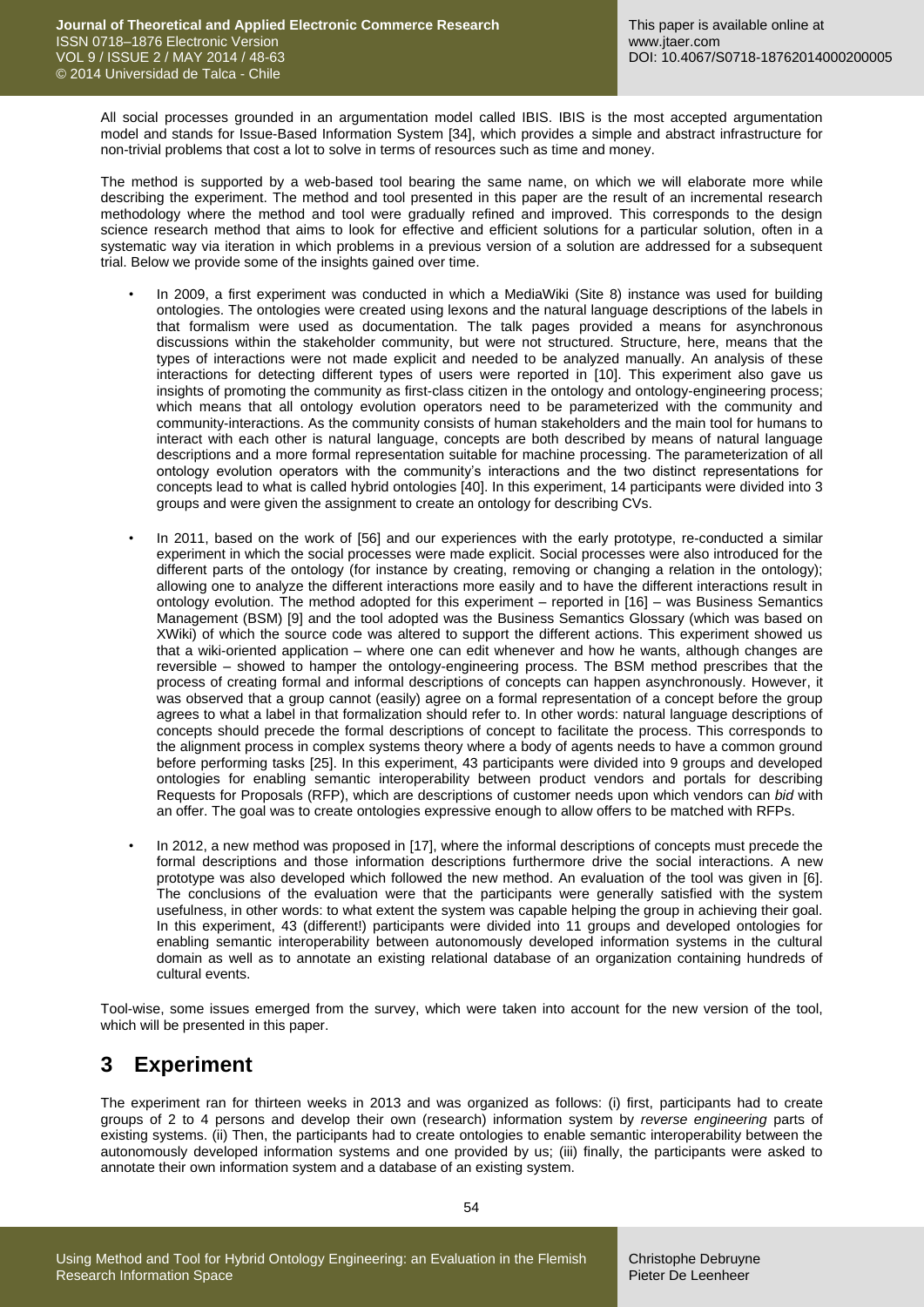All social processes grounded in an argumentation model called IBIS. IBIS is the most accepted argumentation model and stands for Issue-Based Information System [\[34\],](#page-14-19) which provides a simple and abstract infrastructure for non-trivial problems that cost a lot to solve in terms of resources such as time and money.

The method is supported by a web-based tool bearing the same name, on which we will elaborate more while describing the experiment. The method and tool presented in this paper are the result of an incremental research methodology where the method and tool were gradually refined and improved. This corresponds to the design science research method that aims to look for effective and efficient solutions for a particular solution, often in a systematic way via iteration in which problems in a previous version of a solution are addressed for a subsequent trial. Below we provide some of the insights gained over time.

- In 2009, a first experiment was conducted in which a MediaWiki (Site 8) instance was used for building ontologies. The ontologies were created using lexons and the natural language descriptions of the labels in that formalism were used as documentation. The talk pages provided a means for asynchronous discussions within the stakeholder community, but were not structured. Structure, here, means that the types of interactions were not made explicit and needed to be analyzed manually. An analysis of these interactions for detecting different types of users were reported in [\[10\].](#page-13-5) This experiment also gave us insights of promoting the community as first-class citizen in the ontology and ontology-engineering process; which means that all ontology evolution operators need to be parameterized with the community and community-interactions. As the community consists of human stakeholders and the main tool for humans to interact with each other is natural language, concepts are both described by means of natural language descriptions and a more formal representation suitable for machine processing. The parameterization of all ontology evolution operators with the community's interactions and the two distinct representations for concepts lead to what is called hybrid ontologies [\[40\].](#page-15-5) In this experiment, 14 participants were divided into 3 groups and were given the assignment to create an ontology for describing CVs.
- In 2011, based on the work of [\[56\]](#page-15-17) and our experiences with the early prototype, re-conducted a similar experiment in which the social processes were made explicit. Social processes were also introduced for the different parts of the ontology (for instance by creating, removing or changing a relation in the ontology); allowing one to analyze the different interactions more easily and to have the different interactions result in ontology evolution. The method adopted for this experiment – reported in [\[16\]](#page-14-20) – was Business Semantics Management (BSM) [\[9\]](#page-13-2) and the tool adopted was the Business Semantics Glossary (which was based on XWiki) of which the source code was altered to support the different actions. This experiment showed us that a wiki-oriented application – where one can edit whenever and how he wants, although changes are reversible – showed to hamper the ontology-engineering process. The BSM method prescribes that the process of creating formal and informal descriptions of concepts can happen asynchronously. However, it was observed that a group cannot (easily) agree on a formal representation of a concept before the group agrees to what a label in that formalization should refer to. In other words: natural language descriptions of concepts should precede the formal descriptions of concept to facilitate the process. This corresponds to the alignment process in complex systems theory where a body of agents needs to have a common ground before performing tasks [\[25\].](#page-14-21) In this experiment, 43 participants were divided into 9 groups and developed ontologies for enabling semantic interoperability between product vendors and portals for describing Requests for Proposals (RFP), which are descriptions of customer needs upon which vendors can *bid* with an offer. The goal was to create ontologies expressive enough to allow offers to be matched with RFPs.
- In 2012, a new method was proposed in [\[17\],](#page-14-22) where the informal descriptions of concepts must precede the formal descriptions and those information descriptions furthermore drive the social interactions. A new prototype was also developed which followed the new method. An evaluation of the tool was given in [\[6\].](#page-13-6) The conclusions of the evaluation were that the participants were generally satisfied with the system usefulness, in other words: to what extent the system was capable helping the group in achieving their goal. In this experiment, 43 (different!) participants were divided into 11 groups and developed ontologies for enabling semantic interoperability between autonomously developed information systems in the cultural domain as well as to annotate an existing relational database of an organization containing hundreds of cultural events.

Tool-wise, some issues emerged from the survey, which were taken into account for the new version of the tool, which will be presented in this paper.

# **3 Experiment**

The experiment ran for thirteen weeks in 2013 and was organized as follows: (i) first, participants had to create groups of 2 to 4 persons and develop their own (research) information system by *reverse engineering* parts of existing systems. (ii) Then, the participants had to create ontologies to enable semantic interoperability between the autonomously developed information systems and one provided by us; (iii) finally, the participants were asked to annotate their own information system and a database of an existing system.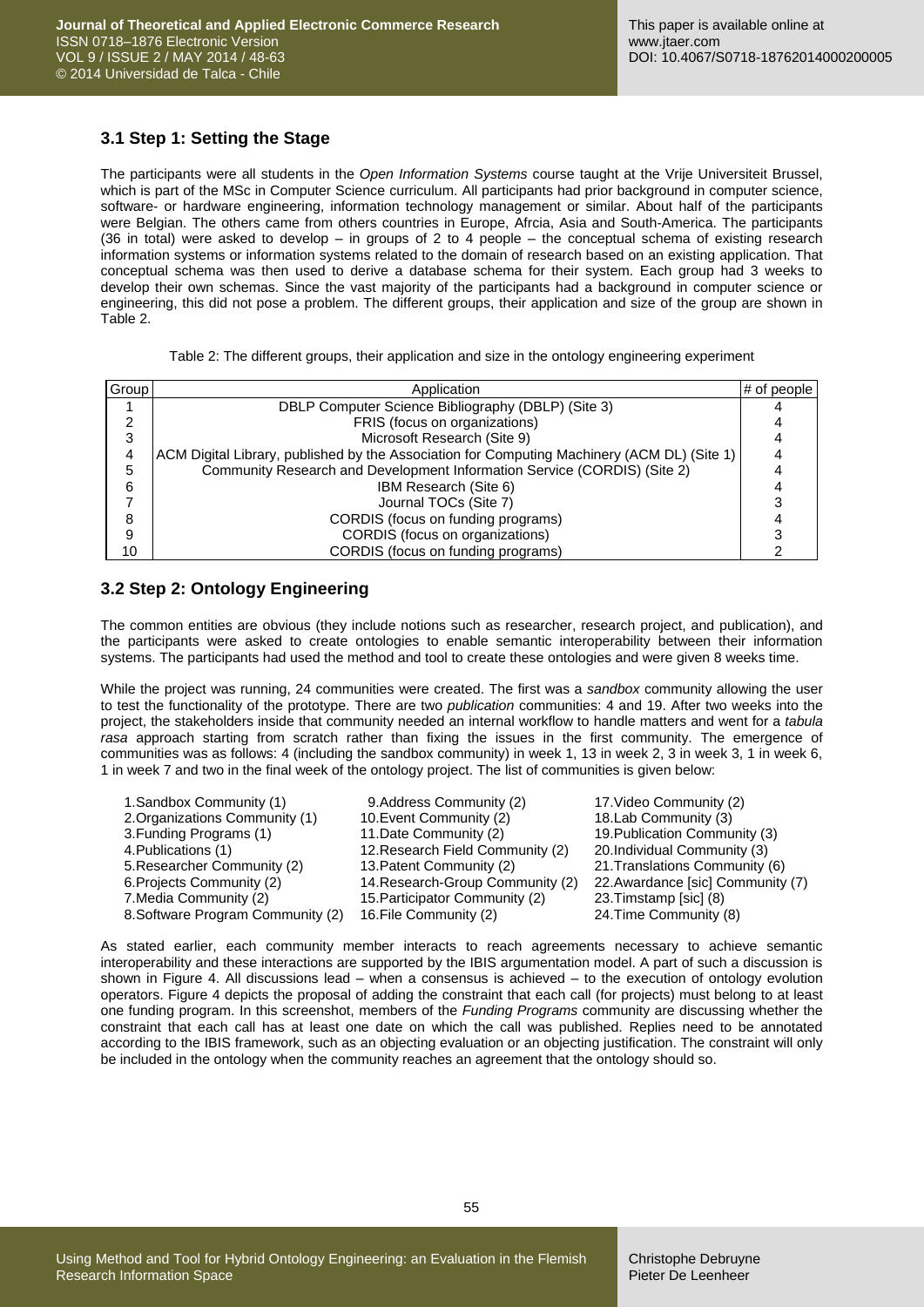### **3.1 Step 1: Setting the Stage**

The participants were all students in the *Open Information Systems* course taught at the Vrije Universiteit Brussel, which is part of the MSc in Computer Science curriculum. All participants had prior background in computer science, software- or hardware engineering, information technology management or similar. About half of the participants were Belgian. The others came from others countries in Europe, Afrcia, Asia and South-America. The participants (36 in total) were asked to develop – in groups of 2 to 4 people – the conceptual schema of existing research information systems or information systems related to the domain of research based on an existing application. That conceptual schema was then used to derive a database schema for their system. Each group had 3 weeks to develop their own schemas. Since the vast majority of the participants had a background in computer science or engineering, this did not pose a problem. The different groups, their application and size of the group are shown in Table 2.

|  | Table 2: The different groups, their application and size in the ontology engineering experiment |
|--|--------------------------------------------------------------------------------------------------|

| Group | Application                                                                                 | $#$ of people |
|-------|---------------------------------------------------------------------------------------------|---------------|
|       | DBLP Computer Science Bibliography (DBLP) (Site 3)                                          |               |
| 2     | FRIS (focus on organizations)                                                               |               |
| 3     | Microsoft Research (Site 9)                                                                 |               |
| 4     | ACM Digital Library, published by the Association for Computing Machinery (ACM DL) (Site 1) |               |
| 5     | Community Research and Development Information Service (CORDIS) (Site 2)                    |               |
| 6     | IBM Research (Site 6)                                                                       |               |
|       | Journal TOCs (Site 7)                                                                       |               |
| 8     | CORDIS (focus on funding programs)                                                          |               |
| 9     | CORDIS (focus on organizations)                                                             |               |
| 10    | CORDIS (focus on funding programs)                                                          |               |

### **3.2 Step 2: Ontology Engineering**

The common entities are obvious (they include notions such as researcher, research project, and publication), and the participants were asked to create ontologies to enable semantic interoperability between their information systems. The participants had used the method and tool to create these ontologies and were given 8 weeks time.

While the project was running, 24 communities were created. The first was a *sandbox* community allowing the user to test the functionality of the prototype. There are two *publication* communities: 4 and 19. After two weeks into the project, the stakeholders inside that community needed an internal workflow to handle matters and went for a *tabula rasa* approach starting from scratch rather than fixing the issues in the first community. The emergence of communities was as follows: 4 (including the sandbox community) in week 1, 13 in week 2, 3 in week 3, 1 in week 6, 1 in week 7 and two in the final week of the ontology project. The list of communities is given below:

| 1. Sandbox Community (1)          | 9.Address Community (2)          | 17. Video Community (2)           |
|-----------------------------------|----------------------------------|-----------------------------------|
| 2. Organizations Community (1)    | 10. Event Community (2)          | 18. Lab Community (3)             |
| 3. Funding Programs (1)           | 11. Date Community (2)           | 19. Publication Community (3)     |
| 4. Publications (1)               | 12. Research Field Community (2) | 20. Individual Community (3)      |
| 5. Researcher Community (2)       | 13. Patent Community (2)         | 21. Translations Community (6)    |
| 6. Projects Community (2)         | 14. Research-Group Community (2) | 22. Awardance [sic] Community (7) |
| 7. Media Community (2)            | 15. Participator Community (2)   | 23. Timstamp [sic] (8)            |
| 8. Software Program Community (2) | 16. File Community (2)           | 24. Time Community (8)            |

As stated earlier, each community member interacts to reach agreements necessary to achieve semantic interoperability and these interactions are supported by the IBIS argumentation model. A part of such a discussion is shown in Figure 4. All discussions lead – when a consensus is achieved – to the execution of ontology evolution operators. Figure 4 depicts the proposal of adding the constraint that each call (for projects) must belong to at least one funding program. In this screenshot, members of the *Funding Programs* community are discussing whether the constraint that each call has at least one date on which the call was published. Replies need to be annotated according to the IBIS framework, such as an objecting evaluation or an objecting justification. The constraint will only be included in the ontology when the community reaches an agreement that the ontology should so.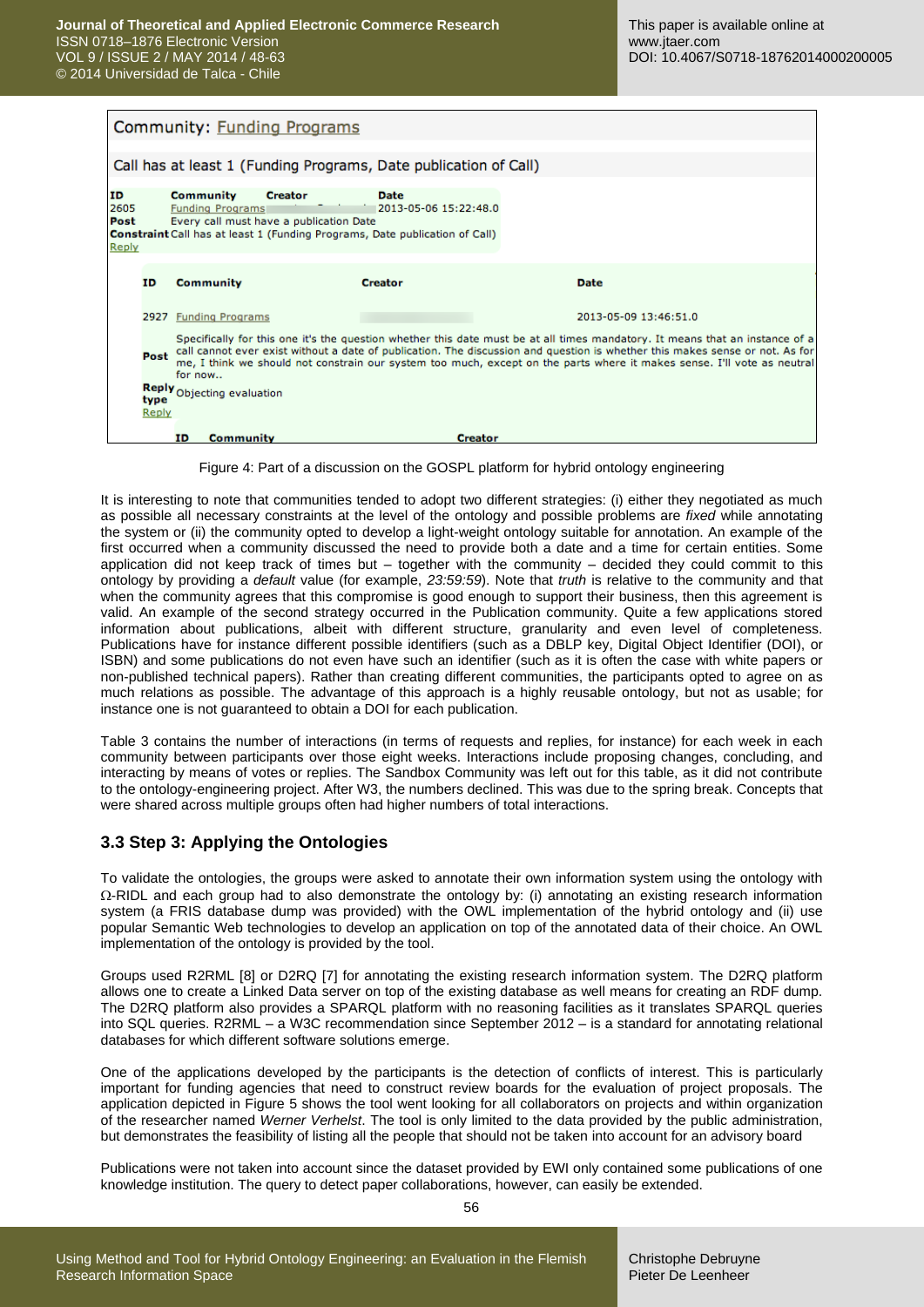|                             |               | Community: Funding Programs                                                                                                                                                      |                                      |                                                                                                                                                                                                                                                                                                                                                                                         |
|-----------------------------|---------------|----------------------------------------------------------------------------------------------------------------------------------------------------------------------------------|--------------------------------------|-----------------------------------------------------------------------------------------------------------------------------------------------------------------------------------------------------------------------------------------------------------------------------------------------------------------------------------------------------------------------------------------|
|                             |               | Call has at least 1 (Funding Programs, Date publication of Call)                                                                                                                 |                                      |                                                                                                                                                                                                                                                                                                                                                                                         |
| ID<br>2605<br>Post<br>Reply |               | Community<br><b>Creator</b><br><b>Funding Programs</b><br>Every call must have a publication Date<br>Constraint Call has at least 1 (Funding Programs, Date publication of Call) | <b>Date</b><br>2013-05-06 15:22:48.0 |                                                                                                                                                                                                                                                                                                                                                                                         |
|                             | <b>ID</b>     | <b>Community</b>                                                                                                                                                                 | <b>Creator</b>                       | <b>Date</b>                                                                                                                                                                                                                                                                                                                                                                             |
|                             |               | 2927 Funding Programs                                                                                                                                                            |                                      | 2013-05-09 13:46:51.0                                                                                                                                                                                                                                                                                                                                                                   |
|                             | Post          | for now                                                                                                                                                                          |                                      | Specifically for this one it's the question whether this date must be at all times mandatory. It means that an instance of a<br>call cannot ever exist without a date of publication. The discussion and question is whether this makes sense or not. As for<br>me, I think we should not constrain our system too much, except on the parts where it makes sense. I'll vote as neutral |
|                             | type<br>Reply | Reply Objecting evaluation                                                                                                                                                       |                                      |                                                                                                                                                                                                                                                                                                                                                                                         |
|                             |               | ID.<br>Community                                                                                                                                                                 | <b>Creator</b>                       |                                                                                                                                                                                                                                                                                                                                                                                         |

Figure 4: Part of a discussion on the GOSPL platform for hybrid ontology engineering

It is interesting to note that communities tended to adopt two different strategies: (i) either they negotiated as much as possible all necessary constraints at the level of the ontology and possible problems are *fixed* while annotating the system or (ii) the community opted to develop a light-weight ontology suitable for annotation. An example of the first occurred when a community discussed the need to provide both a date and a time for certain entities. Some application did not keep track of times but – together with the community – decided they could commit to this ontology by providing a *default* value (for example, *23:59:59*). Note that *truth* is relative to the community and that when the community agrees that this compromise is good enough to support their business, then this agreement is valid. An example of the second strategy occurred in the Publication community. Quite a few applications stored information about publications, albeit with different structure, granularity and even level of completeness. Publications have for instance different possible identifiers (such as a DBLP key, Digital Object Identifier (DOI), or ISBN) and some publications do not even have such an identifier (such as it is often the case with white papers or non-published technical papers). Rather than creating different communities, the participants opted to agree on as much relations as possible. The advantage of this approach is a highly reusable ontology, but not as usable; for instance one is not guaranteed to obtain a DOI for each publication.

Table 3 contains the number of interactions (in terms of requests and replies, for instance) for each week in each community between participants over those eight weeks. Interactions include proposing changes, concluding, and interacting by means of votes or replies. The Sandbox Community was left out for this table, as it did not contribute to the ontology-engineering project. After W3, the numbers declined. This was due to the spring break. Concepts that were shared across multiple groups often had higher numbers of total interactions.

### **3.3 Step 3: Applying the Ontologies**

To validate the ontologies, the groups were asked to annotate their own information system using the ontology with  $\Omega$ -RIDL and each group had to also demonstrate the ontology by: (i) annotating an existing research information system (a FRIS database dump was provided) with the OWL implementation of the hybrid ontology and (ii) use popular Semantic Web technologies to develop an application on top of the annotated data of their choice. An OWL implementation of the ontology is provided by the tool.

Groups used R2RML [\[8\]](#page-13-7) or D2RQ [\[7\]](#page-13-8) for annotating the existing research information system. The D2RQ platform allows one to create a Linked Data server on top of the existing database as well means for creating an RDF dump. The D2RQ platform also provides a SPARQL platform with no reasoning facilities as it translates SPARQL queries into SQL queries. R2RML – a W3C recommendation since September 2012 – is a standard for annotating relational databases for which different software solutions emerge.

One of the applications developed by the participants is the detection of conflicts of interest. This is particularly important for funding agencies that need to construct review boards for the evaluation of project proposals. The application depicted in Figure 5 shows the tool went looking for all collaborators on projects and within organization of the researcher named *Werner Verhelst*. The tool is only limited to the data provided by the public administration, but demonstrates the feasibility of listing all the people that should not be taken into account for an advisory board

Publications were not taken into account since the dataset provided by EWI only contained some publications of one knowledge institution. The query to detect paper collaborations, however, can easily be extended.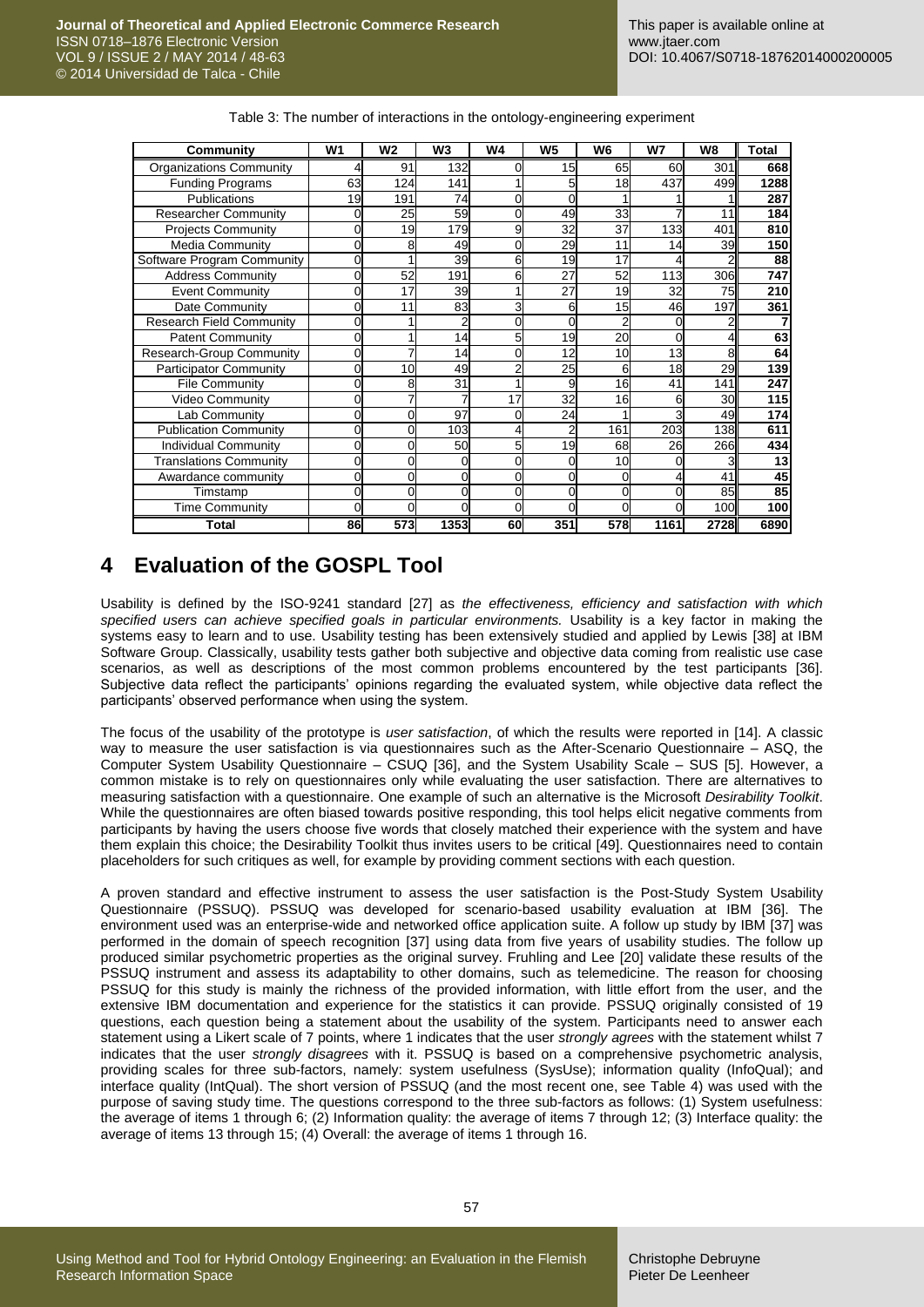| Community                       | W <sub>1</sub> | <b>W2</b> | W3   | W4 | W5  | W6  | W7       | W8   | Total |
|---------------------------------|----------------|-----------|------|----|-----|-----|----------|------|-------|
| <b>Organizations Community</b>  |                | 91        | 132  |    | 15  | 65  | 60       | 301  | 668   |
| Funding Programs                | 63             | 124       | 141  |    |     | 18  | 437      | 499  | 1288  |
| <b>Publications</b>             | 19             | 191       | 74   |    |     |     |          |      | 287   |
| <b>Researcher Community</b>     | 0              | 25        | 59   | 0  | 49  | 33  |          | 11   | 184   |
| <b>Projects Community</b>       | ი              | 19        | 179  | 9  | 32  | 37  | 133      | 401  | 810   |
| <b>Media Community</b>          | ი              |           | 49   |    | 29  | 11  | 14       | 39   | 150   |
| Software Program Community      |                |           | 39   | 6  | 19  | 17  |          |      | 88    |
| <b>Address Community</b>        |                | 52        | 191  | 6  | 27  | 52  | 113      | 306  | 747   |
| <b>Event Community</b>          |                | 17        | 39   |    | 27  | 19  | 32       | 75   | 210   |
| Date Community                  | 0              | 11        | 83   | 3  | 6   | 15  | 46       | 197  | 361   |
| <b>Research Field Community</b> | ი              |           |      | ი  | 0   |     | 0        |      | 7     |
| <b>Patent Community</b>         | 0              |           | 14   | 5  | 19  | 20  | 0        | 4    | 63    |
| <b>Research-Group Community</b> |                |           | 14   |    | 12  | 10  | 13       | 8    | 64    |
| <b>Participator Community</b>   | ი              | 10        | 49   |    | 25  | 6   | 18       | 29   | 139   |
| <b>File Community</b>           | 0              |           | 31   |    | 9   | 16  | 41       | 141  | 247   |
| <b>Video Community</b>          | 0              |           |      | 17 | 32  | 16  | 6        | 30   | 115   |
| Lab Community                   | 0              |           | 97   | 0  | 24  |     |          | 49   | 174   |
| <b>Publication Community</b>    | 0              |           | 103  |    |     | 161 | 203      | 138  | 611   |
| <b>Individual Community</b>     | ი              |           | 50   | 5  | 19  | 68  | 26       | 266  | 434   |
| <b>Translations Community</b>   |                |           |      |    |     | 10  |          |      | 13    |
| Awardance community             |                |           | U    |    | 0   |     |          | 41   | 45    |
| Timstamp                        | 0              |           |      |    | 0   | 0   |          | 85   | 85    |
| <b>Time Community</b>           | 0              | C         | ŋ    | ი  | 0   | 0   | $\Omega$ | 100  | 100   |
| Total                           | 86             | 573       | 1353 | 60 | 351 | 578 | 1161     | 2728 | 6890  |

Table 3: The number of interactions in the ontology-engineering experiment

## **4 Evaluation of the GOSPL Tool**

Usability is defined by the ISO-9241 standard [\[27\]](#page-14-23) as *the effectiveness, efficiency and satisfaction with which specified users can achieve specified goals in particular environments.* Usability is a key factor in making the systems easy to learn and to use. Usability testing has been extensively studied and applied by Lewis [\[38\]](#page-14-24) at IBM Software Group. Classically, usability tests gather both subjective and objective data coming from realistic use case scenarios, as well as descriptions of the most common problems encountered by the test participants [\[36\].](#page-14-25) Subjective data reflect the participants' opinions regarding the evaluated system, while objective data reflect the participants' observed performance when using the system.

The focus of the usability of the prototype is *user satisfaction*, of which the results were reported in [\[14\].](#page-14-26) A classic way to measure the user satisfaction is via questionnaires such as the After-Scenario Questionnaire – ASQ, the Computer System Usability Questionnaire – CSUQ [\[36\],](#page-14-25) and the System Usability Scale – SUS [\[5\].](#page-13-9) However, a common mistake is to rely on questionnaires only while evaluating the user satisfaction. There are alternatives to measuring satisfaction with a questionnaire. One example of such an alternative is the Microsoft *Desirability Toolkit*. While the questionnaires are often biased towards positive responding, this tool helps elicit negative comments from participants by having the users choose five words that closely matched their experience with the system and have them explain this choice; the Desirability Toolkit thus invites users to be critical [\[49\].](#page-15-18) Questionnaires need to contain placeholders for such critiques as well, for example by providing comment sections with each question.

A proven standard and effective instrument to assess the user satisfaction is the Post-Study System Usability Questionnaire (PSSUQ). PSSUQ was developed for scenario-based usability evaluation at IBM [\[36\].](#page-14-25) The environment used was an enterprise-wide and networked office application suite. A follow up study by IBM [\[37\]](#page-14-27) was performed in the domain of speech recognition [\[37\]](#page-14-27) using data from five years of usability studies. The follow up produced similar psychometric properties as the original survey. Fruhling and Lee [\[20\]](#page-14-28) validate these results of the PSSUQ instrument and assess its adaptability to other domains, such as telemedicine. The reason for choosing PSSUQ for this study is mainly the richness of the provided information, with little effort from the user, and the extensive IBM documentation and experience for the statistics it can provide. PSSUQ originally consisted of 19 questions, each question being a statement about the usability of the system. Participants need to answer each statement using a Likert scale of 7 points, where 1 indicates that the user *strongly agrees* with the statement whilst 7 indicates that the user *strongly disagrees* with it. PSSUQ is based on a comprehensive psychometric analysis, providing scales for three sub-factors, namely: system usefulness (SysUse); information quality (InfoQual); and interface quality (IntQual). The short version of PSSUQ (and the most recent one, see Table 4) was used with the purpose of saving study time. The questions correspond to the three sub-factors as follows: (1) System usefulness: the average of items 1 through 6; (2) Information quality: the average of items 7 through 12; (3) Interface quality: the average of items 13 through 15; (4) Overall: the average of items 1 through 16.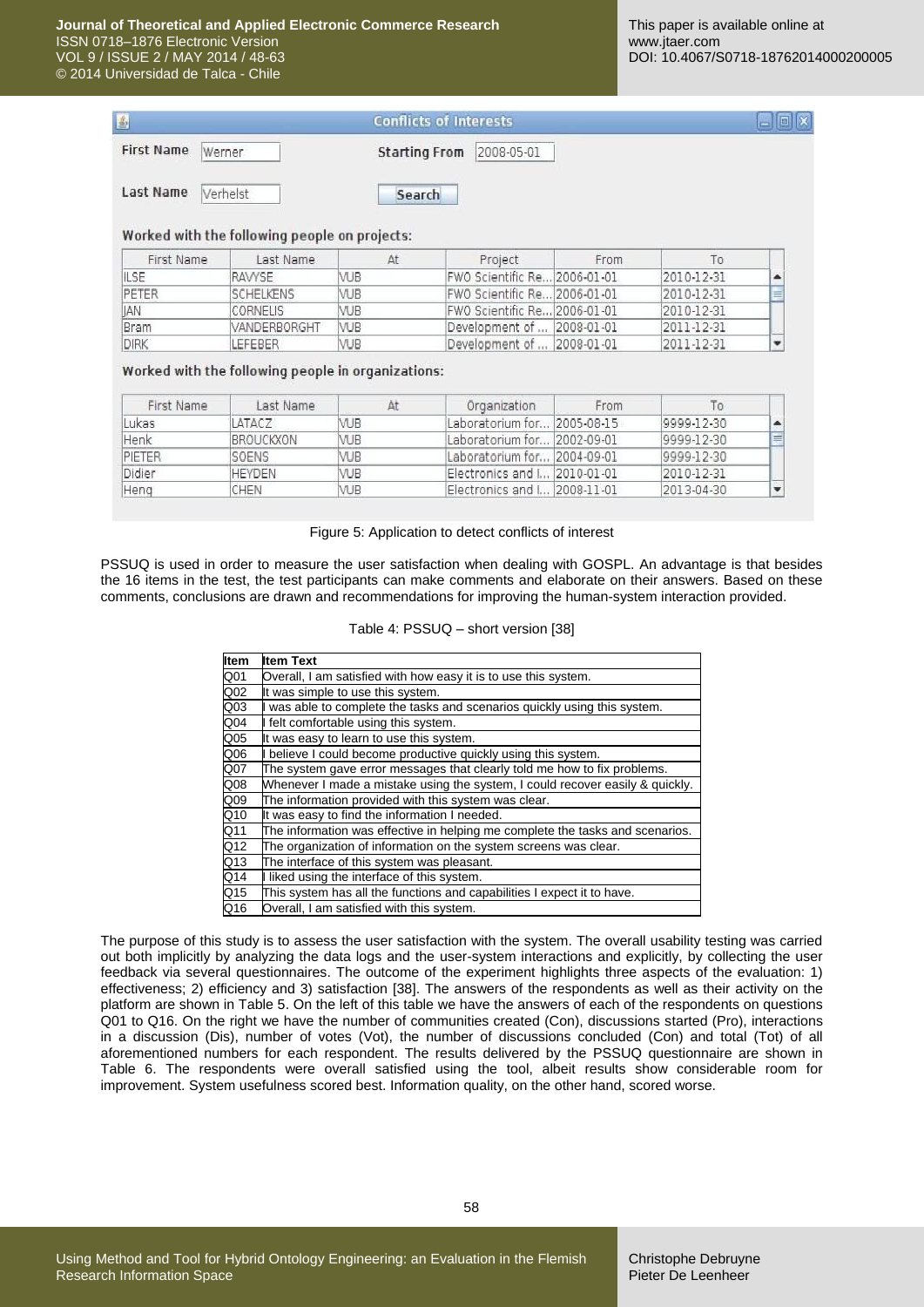| 画                 |          | <b>Conflicts of Interests</b> |  |
|-------------------|----------|-------------------------------|--|
| First Name Werner |          | Starting From 2008-05-01      |  |
| <b>Last Name</b>  | Verhelst | Search                        |  |

#### Worked with the following people on projects:

| First Name | Last Name        | At         | Project                      | From |            |   |
|------------|------------------|------------|------------------------------|------|------------|---|
| IILSE      | RAWSE            | VUB        | FWO Scientific Re 2006-01-01 |      | 2010-12-31 |   |
| PETER      | <b>SCHELKENS</b> | <b>VUB</b> | FWO Scientific Re 2006-01-01 |      | 2010-12-31 | 三 |
| <b>JAN</b> | CORNELIS         | VUB        | FWO Scientific Re 2006-01-01 |      | 2010-12-31 |   |
| Bram       | VANDERBORGHT     | <b>VUB</b> | Development of  2008-01-01   |      | 2011-12-31 |   |
| DIRK       | LEFEBER          | <b>VUB</b> | Development of  2008-01-01   |      | 2011-12-31 |   |

Worked with the following people in organizations:

| First Name         | Last Name     | At         | Organization                 | From |            |   |
|--------------------|---------------|------------|------------------------------|------|------------|---|
| Lukas <sup>®</sup> | LATACZ        | <b>VUB</b> | Laboratorium for 2005-08-15  |      | 9999-12-30 |   |
| Henk               | BROUCKXON     | <b>VUB</b> | Laboratorium for 2002-09-01  |      | 9999-12-30 | 三 |
| PIETER             | <b>SOENS</b>  | VUB        | Laboratorium for 2004-09-01  |      | 9999-12-30 |   |
| Didier             | <b>HEYDEN</b> | <b>VUB</b> | Electronics and I 2010-01-01 |      | 2010-12-31 |   |
| Heng               | CHEN          | VUB        | Electronics and I 2008-11-01 |      | 2013-04-30 |   |

Figure 5: Application to detect conflicts of interest

PSSUQ is used in order to measure the user satisfaction when dealing with GOSPL. An advantage is that besides the 16 items in the test, the test participants can make comments and elaborate on their answers. Based on these comments, conclusions are drawn and recommendations for improving the human-system interaction provided.

#### Table 4: PSSUQ – short version [\[38\]](#page-14-24)

| <b>Item</b>      | <b>Item Text</b>                                                              |
|------------------|-------------------------------------------------------------------------------|
| Q01              | Overall, I am satisfied with how easy it is to use this system.               |
| Q <sub>02</sub>  | It was simple to use this system.                                             |
| Q <sub>03</sub>  | was able to complete the tasks and scenarios quickly using this system.       |
| Q <sub>04</sub>  | I felt comfortable using this system.                                         |
| Q <sub>05</sub>  | It was easy to learn to use this system.                                      |
| Q06              | believe I could become productive quickly using this system.                  |
| Q07              | The system gave error messages that clearly told me how to fix problems.      |
| Q08              | Whenever I made a mistake using the system, I could recover easily & quickly. |
| Q09              | The information provided with this system was clear.                          |
| Q10              | It was easy to find the information I needed.                                 |
| Q11              | The information was effective in helping me complete the tasks and scenarios. |
| Q12              | The organization of information on the system screens was clear.              |
| $\overline{Q13}$ | The interface of this system was pleasant.                                    |
| Q14              | I liked using the interface of this system.                                   |
| Q15              | This system has all the functions and capabilities I expect it to have.       |
| Q16              | Overall, I am satisfied with this system.                                     |

The purpose of this study is to assess the user satisfaction with the system. The overall usability testing was carried out both implicitly by analyzing the data logs and the user-system interactions and explicitly, by collecting the user feedback via several questionnaires. The outcome of the experiment highlights three aspects of the evaluation: 1) effectiveness; 2) efficiency and 3) satisfaction [\[38\].](#page-14-24) The answers of the respondents as well as their activity on the platform are shown in Table 5. On the left of this table we have the answers of each of the respondents on questions Q01 to Q16. On the right we have the number of communities created (Con), discussions started (Pro), interactions in a discussion (Dis), number of votes (Vot), the number of discussions concluded (Con) and total (Tot) of all aforementioned numbers for each respondent. The results delivered by the PSSUQ questionnaire are shown in Table 6. The respondents were overall satisfied using the tool, albeit results show considerable room for improvement. System usefulness scored best. Information quality, on the other hand, scored worse.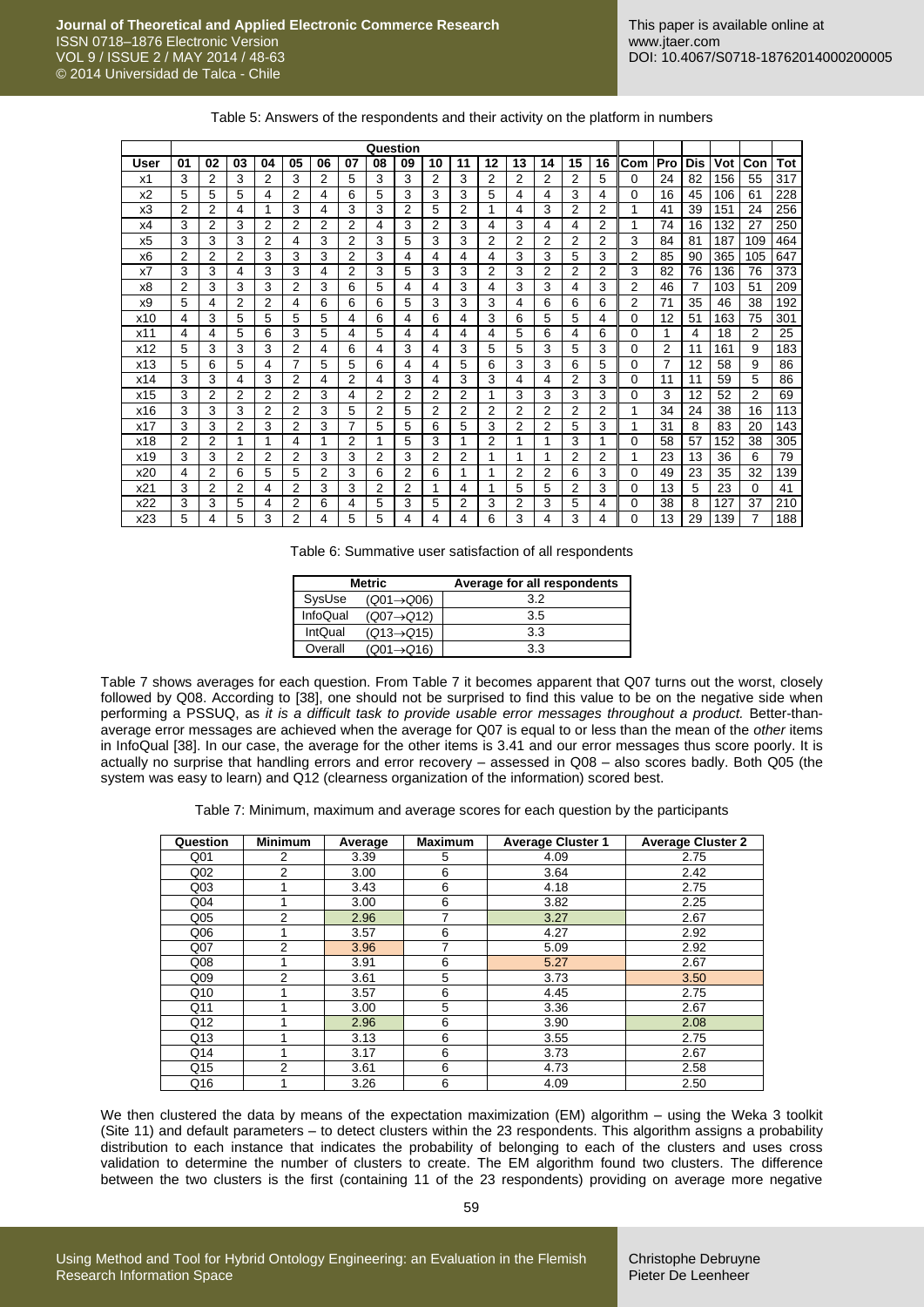|                | Question |    |    |                |                |    |    |    |                |    |    |    |                |                |    |                |     |     |     |     |                |     |
|----------------|----------|----|----|----------------|----------------|----|----|----|----------------|----|----|----|----------------|----------------|----|----------------|-----|-----|-----|-----|----------------|-----|
| User           | 01       | 02 | 03 | 04             | 05             | 06 | 07 | 08 | 09             | 10 | 11 | 12 | 13             | 14             | 15 | 16             | Com | Pro | Dis | Vot | Con            | Tot |
| x1             | 3        | 2  | 3  | 2              | 3              | 2  | 5  | 3  | 3              | 2  | 3  | 2  | $\overline{2}$ | 2              | 2  | 5              | 0   | 24  | 82  | 156 | 55             | 317 |
| x <sub>2</sub> | 5        | 5  | 5  | 4              | 2              | 4  | 6  | 5  | 3              | 3  | 3  | 5  | 4              | 4              | 3  | 4              | 0   | 16  | 45  | 106 | 61             | 228 |
| x3             | 2        | 2  | 4  | 1              | 3              | 4  | 3  | 3  | 2              | 5  | 2  | 1  | 4              | 3              | 2  | $\overline{2}$ | 1   | 41  | 39  | 151 | 24             | 256 |
| x4             | 3        | 2  | 3  | 2              | 2              | 2  | 2  | 4  | 3              | 2  | 3  | 4  | 3              | 4              | 4  | 2              | 1   | 74  | 16  | 132 | 27             | 250 |
| x <sub>5</sub> | 3        | 3  | 3  | 2              | 4              | 3  | 2  | 3  | 5              | 3  | 3  | 2  | 2              | 2              | 2  | 2              | 3   | 84  | 81  | 187 | 109            | 464 |
| x <sub>6</sub> | 2        | 2  | 2  | 3              | 3              | 3  | 2  | 3  | 4              | 4  | 4  | 4  | 3              | 3              | 5  | 3              | 2   | 85  | 90  | 365 | 105            | 647 |
| x7             | 3        | 3  | 4  | 3              | 3              | 4  | 2  | 3  | 5              | 3  | 3  | 2  | 3              | 2              | 2  | 2              | 3   | 82  | 76  | 136 | 76             | 373 |
| x8             | 2        | 3  | 3  | 3              | 2              | 3  | 6  | 5  | 4              | 4  | 3  | 4  | 3              | 3              | 4  | 3              | 2   | 46  | 7   | 103 | 51             | 209 |
| x9             | 5        | 4  | 2  | $\overline{2}$ | 4              | 6  | 6  | 6  | 5              | 3  | 3  | 3  | 4              | 6              | 6  | 6              | 2   | 71  | 35  | 46  | 38             | 192 |
| x10            | 4        | 3  | 5  | 5              | 5              | 5  | 4  | 6  | 4              | 6  | 4  | 3  | 6              | 5              | 5  | 4              | 0   | 12  | 51  | 163 | 75             | 301 |
| x11            | 4        | 4  | 5  | 6              | 3              | 5  | 4  | 5  | 4              | 4  | 4  | 4  | 5              | 6              | 4  | 6              | 0   | 1   | 4   | 18  | 2              | 25  |
| x12            | 5        | 3  | 3  | 3              | 2              | 4  | 6  | 4  | 3              | 4  | 3  | 5  | 5              | 3              | 5  | 3              | 0   | 2   | 11  | 161 | 9              | 183 |
| x13            | 5        | 6  | 5  | 4              | 7              | 5  | 5  | 6  | 4              | 4  | 5  | 6  | 3              | 3              | 6  | 5              | 0   | 7   | 12  | 58  | 9              | 86  |
| x14            | 3        | 3  | 4  | 3              | $\overline{2}$ | 4  | 2  | 4  | 3              | 4  | 3  | 3  | 4              | 4              | 2  | 3              | 0   | 11  | 11  | 59  | 5              | 86  |
| x15            | 3        | 2  | 2  | 2              | 2              | 3  | 4  | 2  | 2              | 2  | 2  | 1  | 3              | 3              | 3  | 3              | 0   | 3   | 12  | 52  | $\overline{2}$ | 69  |
| x16            | 3        | 3  | 3  | 2              | 2              | 3  | 5  | 2  | 5              | 2  | 2  | 2  | 2              | $\overline{2}$ | 2  | 2              | 1   | 34  | 24  | 38  | 16             | 113 |
| x17            | 3        | 3  | 2  | 3              | 2              | 3  | 7  | 5  | 5              | 6  | 5  | 3  | 2              | 2              | 5  | 3              | 1   | 31  | 8   | 83  | 20             | 143 |
| x18            | 2        | 2  |    | 1              | 4              | 1  | 2  | 1  | 5              | 3  | 1  | 2  | 1              | 1              | 3  | 1              | 0   | 58  | 57  | 152 | 38             | 305 |
| x19            | 3        | 3  | 2  | 2              | 2              | 3  | 3  | 2  | 3              | 2  | 2  | 1  | 1              | 1              | 2  | 2              | 1   | 23  | 13  | 36  | 6              | 79  |
| x20            | 4        | 2  | 6  | 5              | 5              | 2  | 3  | 6  | $\overline{2}$ | 6  |    |    | 2              | 2              | 6  | 3              | 0   | 49  | 23  | 35  | 32             | 139 |
| x21            | 3        | 2  | 2  | 4              | 2              | 3  | 3  | 2  | $\overline{2}$ | 1  | 4  | 1  | 5              | 5              | 2  | 3              | 0   | 13  | 5   | 23  | $\Omega$       | 41  |
| x22            | 3        | 3  | 5  | 4              | 2              | 6  | 4  | 5  | 3              | 5  | 2  | 3  | 2              | 3              | 5  | 4              | 0   | 38  | 8   | 127 | 37             | 210 |
| x23            | 5        | 4  | 5  | 3              | 2              | 4  | 5  | 5  | 4              | 4  | 4  | 6  | 3              | 4              | 3  | 4              | 0   | 13  | 29  | 139 | 7              | 188 |

Table 6: Summative user satisfaction of all respondents

|          | <b>Metric</b>           | Average for all respondents |  |  |  |  |
|----------|-------------------------|-----------------------------|--|--|--|--|
| SysUse   | $(Q01 \rightarrow Q06)$ | 3.2                         |  |  |  |  |
| InfoQual | $(Q07 \rightarrow Q12)$ | 3.5                         |  |  |  |  |
| IntQual  | $(Q13 \rightarrow Q15)$ | 3.3                         |  |  |  |  |
| Overall  | $(Q01 \rightarrow Q16)$ | 3.3                         |  |  |  |  |

Table 7 shows averages for each question. From Table 7 it becomes apparent that Q07 turns out the worst, closely followed by Q08. According to [\[38\],](#page-14-24) one should not be surprised to find this value to be on the negative side when performing a PSSUQ, as *it is a difficult task to provide usable error messages throughout a product.* Better-thanaverage error messages are achieved when the average for Q07 is equal to or less than the mean of the *other* items in InfoQual [\[38\].](#page-14-24) In our case, the average for the other items is 3.41 and our error messages thus score poorly. It is actually no surprise that handling errors and error recovery – assessed in Q08 – also scores badly. Both Q05 (the system was easy to learn) and Q12 (clearness organization of the information) scored best.

Table 7: Minimum, maximum and average scores for each question by the participants

| Question        | <b>Minimum</b> | Average | <b>Maximum</b> | <b>Average Cluster 1</b> | <b>Average Cluster 2</b> |  |  |
|-----------------|----------------|---------|----------------|--------------------------|--------------------------|--|--|
| Q <sub>01</sub> | 2              | 3.39    | 5              | 4.09                     | 2.75                     |  |  |
| Q <sub>02</sub> | 2              | 3.00    | 6              | 3.64                     | 2.42                     |  |  |
| Q <sub>03</sub> |                | 3.43    | 6              | 4.18                     | 2.75                     |  |  |
| Q <sub>04</sub> |                | 3.00    | 6              | 3.82                     | 2.25                     |  |  |
| Q <sub>05</sub> | 2              | 2.96    | 7              | 3.27                     | 2.67                     |  |  |
| Q06             |                | 3.57    | 6              | 4.27                     | 2.92                     |  |  |
| Q <sub>07</sub> | 2              | 3.96    | 7              | 5.09                     | 2.92                     |  |  |
| Q <sub>08</sub> |                | 3.91    | 6              | 5.27                     | 2.67                     |  |  |
| Q <sub>09</sub> | 2              | 3.61    | 5              | 3.73                     | 3.50                     |  |  |
| Q10             |                | 3.57    | 6              | 4.45                     | 2.75                     |  |  |
| Q11             |                | 3.00    | 5              | 3.36                     | 2.67                     |  |  |
| Q12             |                | 2.96    | 6              | 3.90                     | 2.08                     |  |  |
| Q13             |                | 3.13    | 6              | 3.55                     | 2.75                     |  |  |
| Q14             |                | 3.17    | 6              | 3.73                     | 2.67                     |  |  |
| Q15             | 2              | 3.61    | 6              | 4.73                     | 2.58                     |  |  |
| Q16             |                | 3.26    | 6              | 4.09                     | 2.50                     |  |  |

We then clustered the data by means of the expectation maximization (EM) algorithm – using the Weka 3 toolkit (Site 11) and default parameters – to detect clusters within the 23 respondents. This algorithm assigns a probability distribution to each instance that indicates the probability of belonging to each of the clusters and uses cross validation to determine the number of clusters to create. The EM algorithm found two clusters. The difference between the two clusters is the first (containing 11 of the 23 respondents) providing on average more negative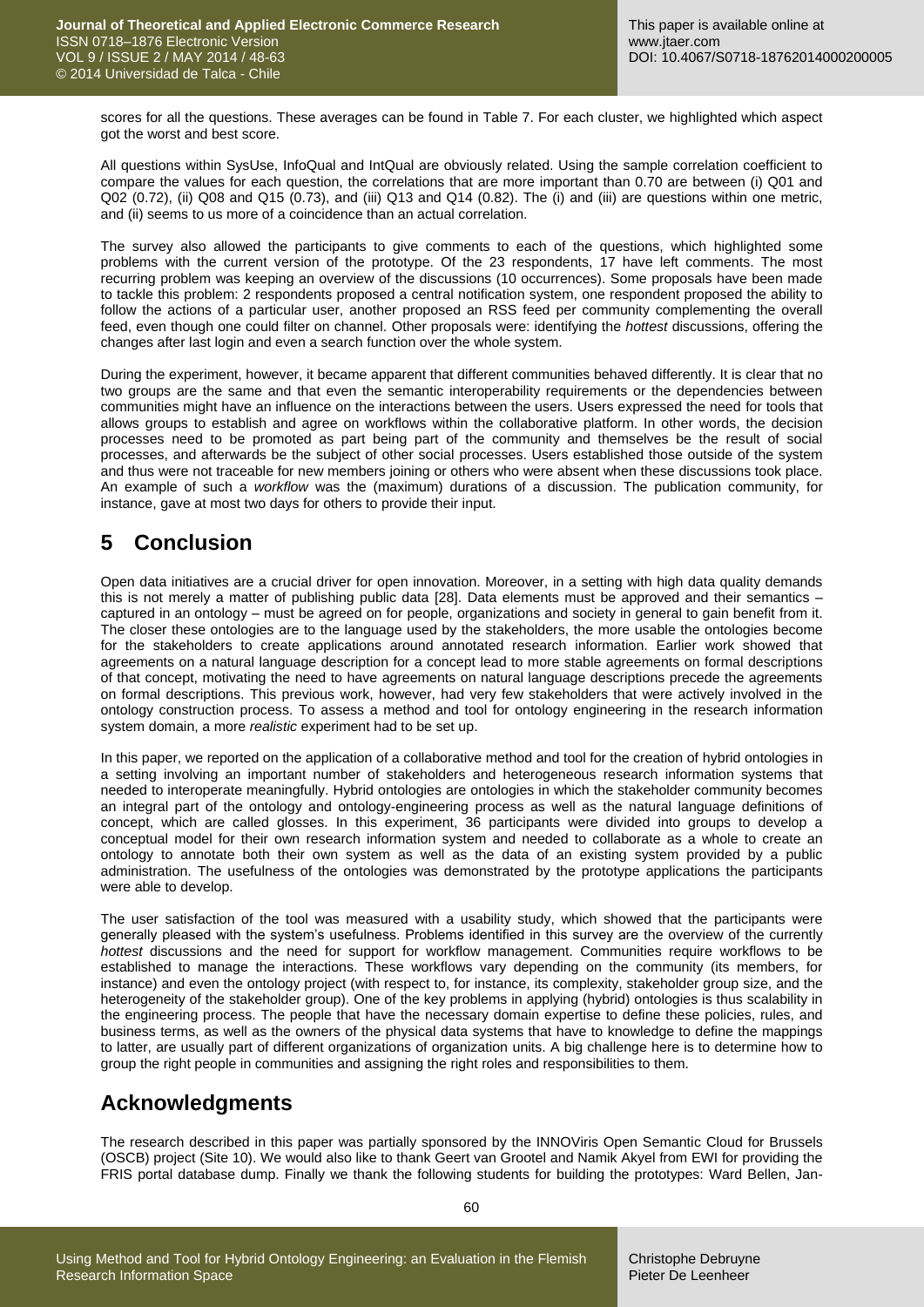scores for all the questions. These averages can be found in Table 7. For each cluster, we highlighted which aspect got the worst and best score.

All questions within SysUse, InfoQual and IntQual are obviously related. Using the sample correlation coefficient to compare the values for each question, the correlations that are more important than 0.70 are between (i) Q01 and Q02 (0.72), (ii) Q08 and Q15 (0.73), and (iii) Q13 and Q14 (0.82). The (i) and (iii) are questions within one metric, and (ii) seems to us more of a coincidence than an actual correlation.

The survey also allowed the participants to give comments to each of the questions, which highlighted some problems with the current version of the prototype. Of the 23 respondents, 17 have left comments. The most recurring problem was keeping an overview of the discussions (10 occurrences). Some proposals have been made to tackle this problem: 2 respondents proposed a central notification system, one respondent proposed the ability to follow the actions of a particular user, another proposed an RSS feed per community complementing the overall feed, even though one could filter on channel. Other proposals were: identifying the *hottest* discussions, offering the changes after last login and even a search function over the whole system.

During the experiment, however, it became apparent that different communities behaved differently. It is clear that no two groups are the same and that even the semantic interoperability requirements or the dependencies between communities might have an influence on the interactions between the users. Users expressed the need for tools that allows groups to establish and agree on workflows within the collaborative platform. In other words, the decision processes need to be promoted as part being part of the community and themselves be the result of social processes, and afterwards be the subject of other social processes. Users established those outside of the system and thus were not traceable for new members joining or others who were absent when these discussions took place. An example of such a *workflow* was the (maximum) durations of a discussion. The publication community, for instance, gave at most two days for others to provide their input.

# **5 Conclusion**

Open data initiatives are a crucial driver for open innovation. Moreover, in a setting with high data quality demands this is not merely a matter of publishing public data [\[28\].](#page-14-3) Data elements must be approved and their semantics – captured in an ontology – must be agreed on for people, organizations and society in general to gain benefit from it. The closer these ontologies are to the language used by the stakeholders, the more usable the ontologies become for the stakeholders to create applications around annotated research information. Earlier work showed that agreements on a natural language description for a concept lead to more stable agreements on formal descriptions of that concept, motivating the need to have agreements on natural language descriptions precede the agreements on formal descriptions. This previous work, however, had very few stakeholders that were actively involved in the ontology construction process. To assess a method and tool for ontology engineering in the research information system domain, a more *realistic* experiment had to be set up.

In this paper, we reported on the application of a collaborative method and tool for the creation of hybrid ontologies in a setting involving an important number of stakeholders and heterogeneous research information systems that needed to interoperate meaningfully. Hybrid ontologies are ontologies in which the stakeholder community becomes an integral part of the ontology and ontology-engineering process as well as the natural language definitions of concept, which are called glosses. In this experiment, 36 participants were divided into groups to develop a conceptual model for their own research information system and needed to collaborate as a whole to create an ontology to annotate both their own system as well as the data of an existing system provided by a public administration. The usefulness of the ontologies was demonstrated by the prototype applications the participants were able to develop.

The user satisfaction of the tool was measured with a usability study, which showed that the participants were generally pleased with the system's usefulness. Problems identified in this survey are the overview of the currently *hottest* discussions and the need for support for workflow management. Communities require workflows to be established to manage the interactions. These workflows vary depending on the community (its members, for instance) and even the ontology project (with respect to, for instance, its complexity, stakeholder group size, and the heterogeneity of the stakeholder group). One of the key problems in applying (hybrid) ontologies is thus scalability in the engineering process. The people that have the necessary domain expertise to define these policies, rules, and business terms, as well as the owners of the physical data systems that have to knowledge to define the mappings to latter, are usually part of different organizations of organization units. A big challenge here is to determine how to group the right people in communities and assigning the right roles and responsibilities to them.

# **Acknowledgments**

The research described in this paper was partially sponsored by the INNOViris Open Semantic Cloud for Brussels (OSCB) project (Site 10). We would also like to thank Geert van Grootel and Namik Akyel from EWI for providing the FRIS portal database dump. Finally we thank the following students for building the prototypes: Ward Bellen, Jan-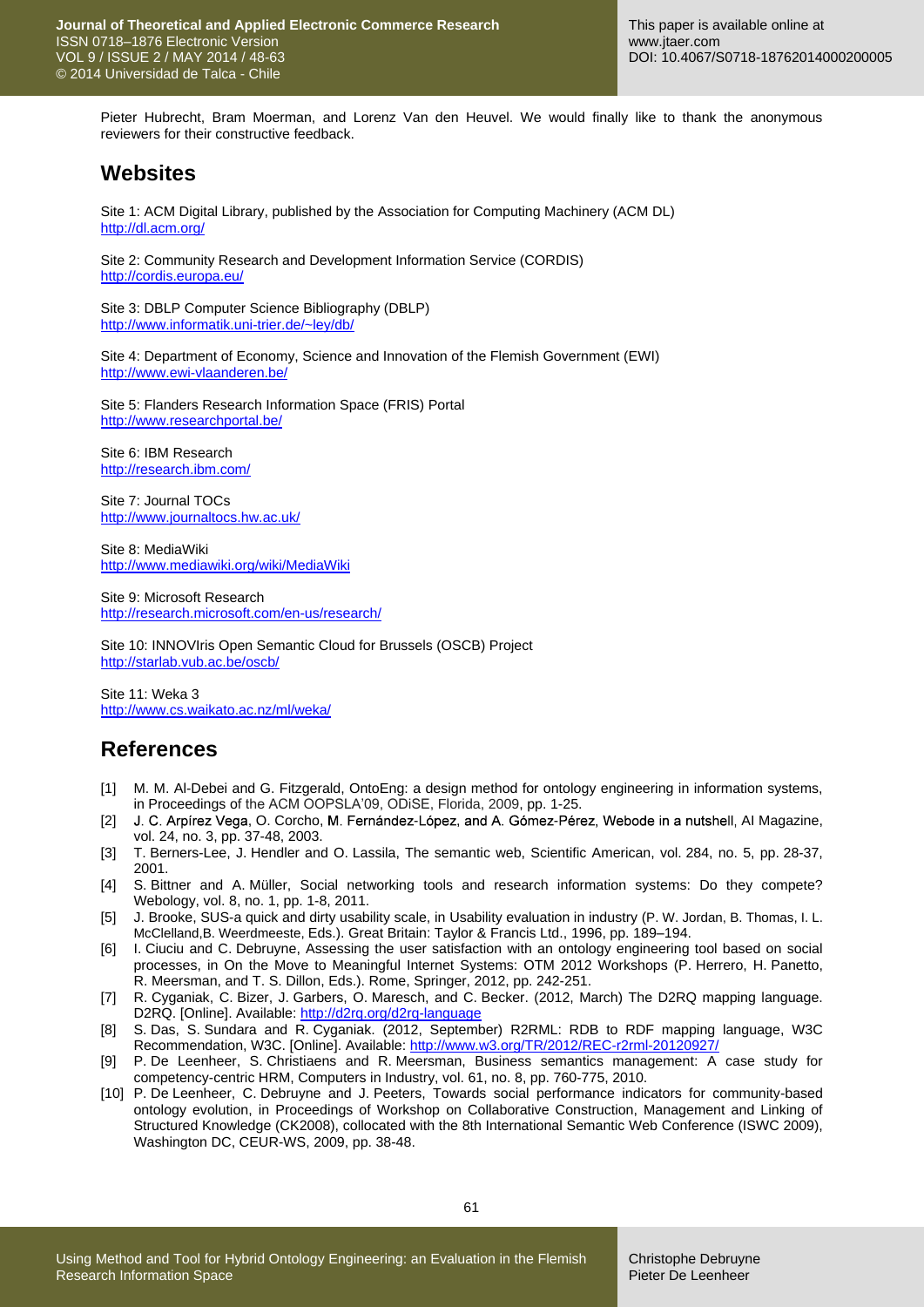Pieter Hubrecht, Bram Moerman, and Lorenz Van den Heuvel. We would finally like to thank the anonymous reviewers for their constructive feedback.

## **Websites**

Site 1: ACM Digital Library, published by the Association for Computing Machinery (ACM DL) <http://dl.acm.org/>

Site 2: Community Research and Development Information Service (CORDIS) <http://cordis.europa.eu/>

Site 3: DBLP Computer Science Bibliography (DBLP) <http://www.informatik.uni-trier.de/~ley/db/>

Site 4: Department of Economy, Science and Innovation of the Flemish Government (EWI) <http://www.ewi-vlaanderen.be/>

Site 5: Flanders Research Information Space (FRIS) Portal <http://www.researchportal.be/>

Site 6: IBM Research <http://research.ibm.com/>

Site 7: Journal TOCs <http://www.journaltocs.hw.ac.uk/>

Site 8: MediaWiki <http://www.mediawiki.org/wiki/MediaWiki>

Site 9: Microsoft Research <http://research.microsoft.com/en-us/research/>

Site 10: INNOVIris Open Semantic Cloud for Brussels (OSCB) Project <http://starlab.vub.ac.be/oscb/>

Site 11: Weka 3 <http://www.cs.waikato.ac.nz/ml/weka/>

# **References**

- <span id="page-13-4"></span>[1] M. M. Al-Debei and G. Fitzgerald, OntoEng: a design method for ontology engineering in information systems, in Proceedings of the ACM OOPSLA'09, ODiSE, Florida, 2009, pp. 1-25.
- <span id="page-13-3"></span>[2] J. C. Arpírez Vega, O. Corcho, M. Fernández-López, and A. Gómez-Pérez, Webode in a nutshell, Al Magazine, vol. 24, no. 3, pp. 37-48, 2003.
- <span id="page-13-1"></span>[3] T. Berners-Lee, J. Hendler and O. Lassila, The semantic web, Scientific American, vol. 284, no. 5, pp. 28-37, 2001.
- <span id="page-13-0"></span>[4] S. Bittner and A. Müller, Social networking tools and research information systems: Do they compete? Webology, vol. 8, no. 1, pp. 1-8, 2011.
- <span id="page-13-9"></span>[5] J. Brooke, SUS-a quick and dirty usability scale, in Usability evaluation in industry (P. W. Jordan, B. Thomas, I. L. McClelland,B. Weerdmeeste, Eds.). Great Britain: Taylor & Francis Ltd., 1996, pp. 189–194.
- <span id="page-13-6"></span>[6] I. Ciuciu and C. Debruyne, Assessing the user satisfaction with an ontology engineering tool based on social processes, in On the Move to Meaningful Internet Systems: OTM 2012 Workshops (P. Herrero, H. Panetto, R. Meersman, and T. S. Dillon, Eds.). Rome, Springer, 2012, pp. 242-251.
- <span id="page-13-8"></span>[7] R. Cyganiak, C. Bizer, J. Garbers, O. Maresch, and C. Becker. (2012, March) The D2RQ mapping language. D2RQ. [Online]. Available[: http://d2rq.org/d2rq-language](http://d2rq.org/d2rq-language)
- <span id="page-13-7"></span>[8] S. Das, S. Sundara and R. Cyganiak. (2012, September) R2RML: RDB to RDF mapping language, W3C Recommendation, W3C. [Online]. Available:<http://www.w3.org/TR/2012/REC-r2rml-20120927/>
- <span id="page-13-2"></span>[9] P. De Leenheer, S. Christiaens and R. Meersman, Business semantics management: A case study for competency-centric HRM, Computers in Industry, vol. 61, no. 8, pp. 760-775, 2010.
- <span id="page-13-5"></span>[10] P. De Leenheer, C. Debruyne and J. Peeters, Towards social performance indicators for community-based ontology evolution, in Proceedings of Workshop on Collaborative Construction, Management and Linking of Structured Knowledge (CK2008), collocated with the 8th International Semantic Web Conference (ISWC 2009), Washington DC, CEUR-WS, 2009, pp. 38-48.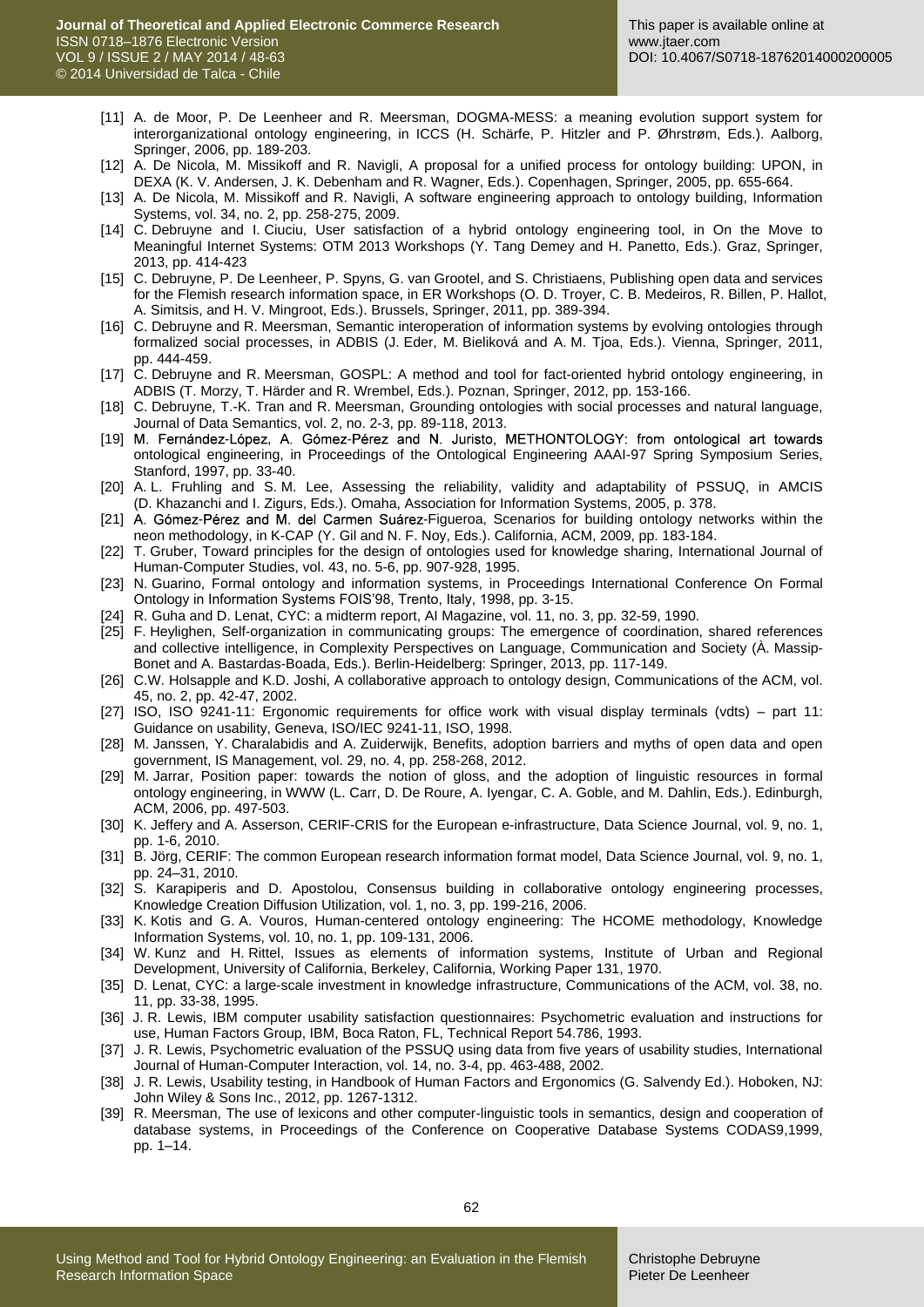- <span id="page-14-10"></span>[11] A. de Moor, P. De Leenheer and R. Meersman, DOGMA-MESS: a meaning evolution support system for interorganizational ontology engineering, in ICCS (H. Schärfe, P. Hitzler and P. Øhrstrøm, Eds.). Aalborg, Springer, 2006, pp. 189-203.
- <span id="page-14-15"></span>[12] A. De Nicola, M. Missikoff and R. Navigli, A proposal for a unified process for ontology building: UPON, in DEXA (K. V. Andersen, J. K. Debenham and R. Wagner, Eds.). Copenhagen, Springer, 2005, pp. 655-664.
- <span id="page-14-16"></span>[13] A. De Nicola, M. Missikoff and R. Navigli, A software engineering approach to ontology building, Information Systems, vol. 34, no. 2, pp. 258-275, 2009.
- <span id="page-14-26"></span>[14] C. Debruyne and I. Ciuciu, User satisfaction of a hybrid ontology engineering tool, in On the Move to Meaningful Internet Systems: OTM 2013 Workshops (Y. Tang Demey and H. Panetto, Eds.). Graz, Springer, 2013, pp. 414-423
- <span id="page-14-1"></span>[15] C. Debruyne, P. De Leenheer, P. Spyns, G. van Grootel, and S. Christiaens, Publishing open data and services for the Flemish research information space, in ER Workshops (O. D. Troyer, C. B. Medeiros, R. Billen, P. Hallot, A. Simitsis, and H. V. Mingroot, Eds.). Brussels, Springer, 2011, pp. 389-394.
- <span id="page-14-20"></span>[16] C. Debruyne and R. Meersman, Semantic interoperation of information systems by evolving ontologies through formalized social processes, in ADBIS (J. Eder, M. Bieliková and A. M. Tjoa, Eds.). Vienna, Springer, 2011, pp. 444-459.
- <span id="page-14-22"></span>[17] C. Debruyne and R. Meersman, GOSPL: A method and tool for fact-oriented hybrid ontology engineering, in ADBIS (T. Morzy, T. Härder and R. Wrembel, Eds.). Poznan, Springer, 2012, pp. 153-166.
- <span id="page-14-6"></span>[18] C. Debruyne, T.-K. Tran and R. Meersman, Grounding ontologies with social processes and natural language, Journal of Data Semantics, vol. 2, no. 2-3, pp. 89-118, 2013.
- <span id="page-14-13"></span>[19] M. Fernández-López, A. Gómez-Pérez and N. Juristo, METHONTOLOGY: from ontological art towards ontological engineering, in Proceedings of the Ontological Engineering AAAI-97 Spring Symposium Series, Stanford, 1997, pp. 33-40.
- <span id="page-14-28"></span>[20] A. L. Fruhling and S. M. Lee, Assessing the reliability, validity and adaptability of PSSUQ, in AMCIS (D. Khazanchi and I. Zigurs, Eds.). Omaha, Association for Information Systems, 2005, p. 378.
- <span id="page-14-14"></span>[21] A. Gómez-Pérez and M. del Carmen Suárez-Figueroa, Scenarios for building ontology networks within the neon methodology, in K-CAP (Y. Gil and N. F. Noy, Eds.). California, ACM, 2009, pp. 183-184.
- <span id="page-14-4"></span>[22] T. Gruber, Toward principles for the design of ontologies used for knowledge sharing, International Journal of Human-Computer Studies, vol. 43, no. 5-6, pp. 907-928, 1995.
- <span id="page-14-5"></span>[23] N. Guarino, Formal ontology and information systems, in Proceedings International Conference On Formal Ontology in Information Systems FOIS'98, Trento, Italy, 1998, pp. 3-15.
- <span id="page-14-7"></span>[24] R. Guha and D. Lenat, CYC: a midterm report, AI Magazine, vol. 11, no. 3, pp. 32-59, 1990.
- <span id="page-14-21"></span>[25] F. Heylighen, Self-organization in communicating groups: The emergence of coordination, shared references and collective intelligence, in Complexity Perspectives on Language, Communication and Society (À. Massip-Bonet and A. Bastardas-Boada, Eds.). Berlin-Heidelberg: Springer, 2013, pp. 117-149.
- <span id="page-14-11"></span>[26] C.W. Holsapple and K.D. Joshi, A collaborative approach to ontology design, Communications of the ACM, vol. 45, no. 2, pp. 42-47, 2002.
- <span id="page-14-23"></span>[27] ISO, ISO 9241-11: Ergonomic requirements for office work with visual display terminals (vdts) – part 11: Guidance on usability, Geneva, ISO/IEC 9241-11, ISO, 1998.
- <span id="page-14-3"></span>[28] M. Janssen, Y. Charalabidis and A. Zuiderwijk, Benefits, adoption barriers and myths of open data and open government, IS Management, vol. 29, no. 4, pp. 258-268, 2012.
- <span id="page-14-18"></span>[29] M. Jarrar, Position paper: towards the notion of gloss, and the adoption of linguistic resources in formal ontology engineering, in WWW (L. Carr, D. De Roure, A. Iyengar, C. A. Goble, and M. Dahlin, Eds.). Edinburgh, ACM, 2006, pp. 497-503.
- <span id="page-14-0"></span>[30] K. Jeffery and A. Asserson, CERIF-CRIS for the European e-infrastructure, Data Science Journal, vol. 9, no. 1, pp. 1-6, 2010.
- <span id="page-14-2"></span>[31] B. Jörg, CERIF: The common European research information format model, Data Science Journal, vol. 9, no. 1, pp. 24–31, 2010.
- <span id="page-14-12"></span>[32] S. Karapiperis and D. Apostolou, Consensus building in collaborative ontology engineering processes, Knowledge Creation Diffusion Utilization, vol. 1, no. 3, pp. 199-216, 2006.
- <span id="page-14-9"></span>[33] K. Kotis and G. A. Vouros, Human-centered ontology engineering: The HCOME methodology, Knowledge Information Systems, vol. 10, no. 1, pp. 109-131, 2006.
- <span id="page-14-19"></span>[34] W. Kunz and H. Rittel, Issues as elements of information systems, Institute of Urban and Regional Development, University of California, Berkeley, California, Working Paper 131, 1970.
- <span id="page-14-8"></span>[35] D. Lenat, CYC: a large-scale investment in knowledge infrastructure, Communications of the ACM, vol. 38, no. 11, pp. 33-38, 1995.
- <span id="page-14-25"></span>[36] J. R. Lewis, IBM computer usability satisfaction questionnaires: Psychometric evaluation and instructions for use, Human Factors Group, IBM, Boca Raton, FL, Technical Report 54.786, 1993.
- <span id="page-14-27"></span>[37] J. R. Lewis, Psychometric evaluation of the PSSUQ using data from five years of usability studies, International Journal of Human-Computer Interaction, vol. 14, no. 3-4, pp. 463-488, 2002.
- <span id="page-14-24"></span>[38] J. R. Lewis, Usability testing, in Handbook of Human Factors and Ergonomics (G. Salvendy Ed.). Hoboken, NJ: John Wiley & Sons Inc., 2012, pp. 1267-1312.
- <span id="page-14-17"></span>[39] R. Meersman, The use of lexicons and other computer-linguistic tools in semantics, design and cooperation of database systems, in Proceedings of the Conference on Cooperative Database Systems CODAS9,1999, pp. 1–14.